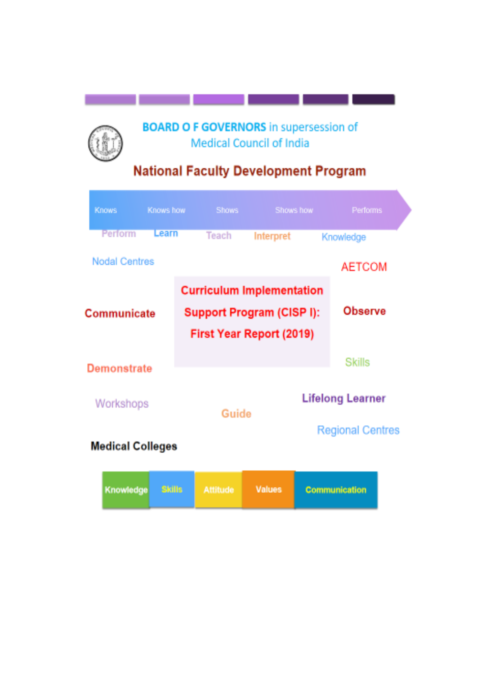# **BOARD O F GOVERNORS** in supersession of Medical Council of India

# **National Faculty Development Program**

| <b>Knows</b>                                                                                             | Knows how     |  | <b>Shows</b>    |           | Shows how | Performs                |
|----------------------------------------------------------------------------------------------------------|---------------|--|-----------------|-----------|-----------|-------------------------|
| Perform                                                                                                  | Learn         |  | <b>Teach</b>    | Interpret |           | Knowledge               |
| <b>Nodal Centres</b>                                                                                     |               |  |                 |           |           | <b>AETCOM</b>           |
| <b>Curriculum Implementation</b><br>Support Program (CISP I):<br>Communicate<br>First Year Report (2019) |               |  |                 |           |           | Observe                 |
| Demonstrate                                                                                              |               |  |                 |           |           | Skills                  |
| Workshops                                                                                                |               |  | Guide           |           |           | <b>Lifelong Learner</b> |
| <b>Regional Centres</b><br><b>Medical Colleges</b>                                                       |               |  |                 |           |           |                         |
| Knowledge                                                                                                | <b>Skills</b> |  | <b>Attitude</b> | Values    |           | Communication           |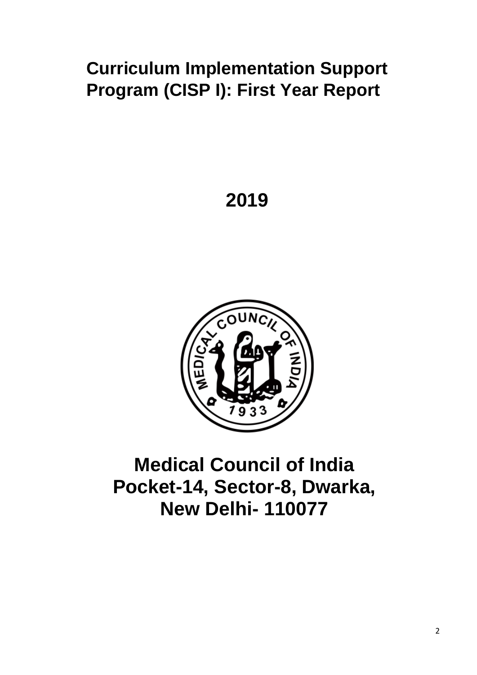# **Curriculum Implementation Support Program (CISP I): First Year Report**

# **2019**



# **Medical Council of India Pocket-14, Sector-8, Dwarka, New Delhi- 110077**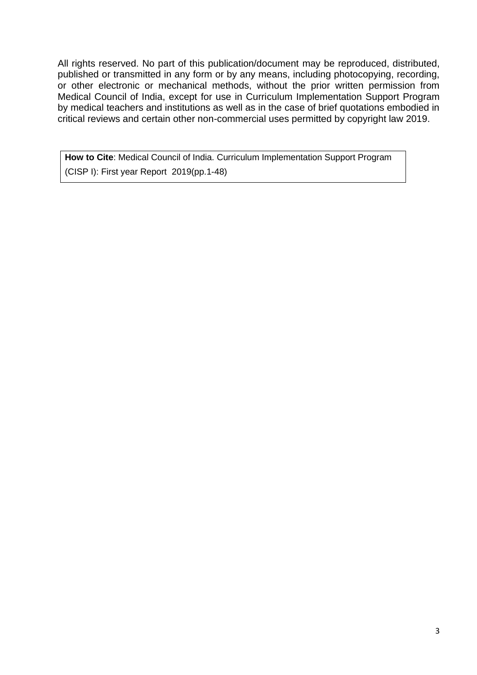All rights reserved. No part of this publication/document may be reproduced, distributed, published or transmitted in any form or by any means, including photocopying, recording, or other electronic or mechanical methods, without the prior written permission from Medical Council of India, except for use in Curriculum Implementation Support Program by medical teachers and institutions as well as in the case of brief quotations embodied in critical reviews and certain other non-commercial uses permitted by copyright law 2019.

**How to Cite**: Medical Council of India. Curriculum Implementation Support Program (CISP I): First year Report 2019(pp.1-48)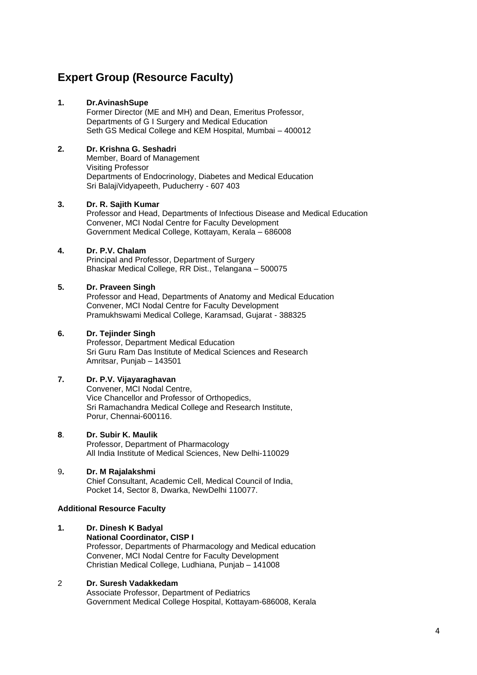# **Expert Group (Resource Faculty)**

## **1. Dr.AvinashSupe**

Former Director (ME and MH) and Dean, Emeritus Professor, Departments of G I Surgery and Medical Education Seth GS Medical College and KEM Hospital, Mumbai – 400012

## **2. Dr. Krishna G. Seshadri**

Member, Board of Management Visiting Professor Departments of Endocrinology, Diabetes and Medical Education Sri BalajiVidyapeeth, Puducherry - 607 403

#### **3. Dr. R. Sajith Kumar**

Professor and Head, Departments of Infectious Disease and Medical Education Convener, MCI Nodal Centre for Faculty Development Government Medical College, Kottayam, Kerala – 686008

### **4. Dr. P.V. Chalam**

Principal and Professor, Department of Surgery Bhaskar Medical College, RR Dist., Telangana – 500075

#### **5. Dr. Praveen Singh**

Professor and Head, Departments of Anatomy and Medical Education Convener, MCI Nodal Centre for Faculty Development Pramukhswami Medical College, Karamsad, Gujarat - 388325

#### **6. Dr. Tejinder Singh**

Professor, Department Medical Education Sri Guru Ram Das Institute of Medical Sciences and Research Amritsar, Punjab – 143501

## **7. Dr. P.V. Vijayaraghavan**

Convener, MCI Nodal Centre, Vice Chancellor and Professor of Orthopedics, Sri Ramachandra Medical College and Research Institute, Porur, Chennai-600116.

#### **8**. **Dr. Subir K. Maulik**

Professor, Department of Pharmacology All India Institute of Medical Sciences, New Delhi-110029

#### 9**. Dr. M Rajalakshmi**

Chief Consultant, Academic Cell, Medical Council of India, Pocket 14, Sector 8, Dwarka, NewDelhi 110077.

#### **Additional Resource Faculty**

#### **1. Dr. Dinesh K Badyal National Coordinator, CISP I** Professor, Departments of Pharmacology and Medical education Convener, MCI Nodal Centre for Faculty Development Christian Medical College, Ludhiana, Punjab – 141008

## 2 **Dr. Suresh Vadakkedam**

Associate Professor, Department of Pediatrics Government Medical College Hospital, Kottayam-686008, Kerala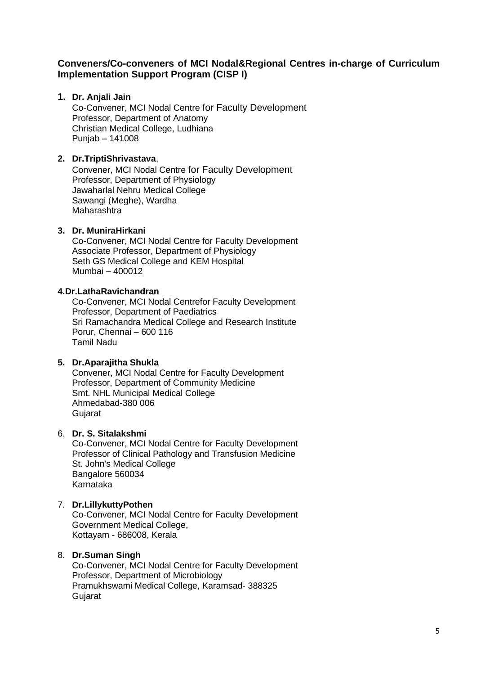## **Conveners/Co-conveners of MCI Nodal&Regional Centres in-charge of Curriculum Implementation Support Program (CISP I)**

## **1. Dr. Anjali Jain**

Co-Convener, MCI Nodal Centre for Faculty Development Professor, Department of Anatomy Christian Medical College, Ludhiana Punjab – 141008

## **2. Dr.TriptiShrivastava**,

Convener, MCI Nodal Centre for Faculty Development Professor, Department of Physiology Jawaharlal Nehru Medical College Sawangi (Meghe), Wardha Maharashtra

## **3. Dr. MuniraHirkani**

Co-Convener, MCI Nodal Centre for Faculty Development Associate Professor, Department of Physiology Seth GS Medical College and KEM Hospital Mumbai – 400012

## **4.Dr.LathaRavichandran**

Co-Convener, MCI Nodal Centrefor Faculty Development Professor, Department of Paediatrics Sri Ramachandra Medical College and Research Institute Porur, Chennai – 600 116 Tamil Nadu

## **5. Dr.Aparajitha Shukla**

Convener, MCI Nodal Centre for Faculty Development Professor, Department of Community Medicine Smt. NHL Municipal Medical College Ahmedabad-380 006 **Gujarat** 

## 6. **Dr. S. Sitalakshmi**

Co-Convener, MCI Nodal Centre for Faculty Development Professor of Clinical Pathology and Transfusion Medicine St. John's Medical College Bangalore 560034 Karnataka

## 7. **Dr.LillykuttyPothen**

Co-Convener, MCI Nodal Centre for Faculty Development Government Medical College, Kottayam - 686008, Kerala

## 8. **Dr.Suman Singh**

Co-Convener, MCI Nodal Centre for Faculty Development Professor, Department of Microbiology Pramukhswami Medical College, Karamsad- 388325 **Gujarat**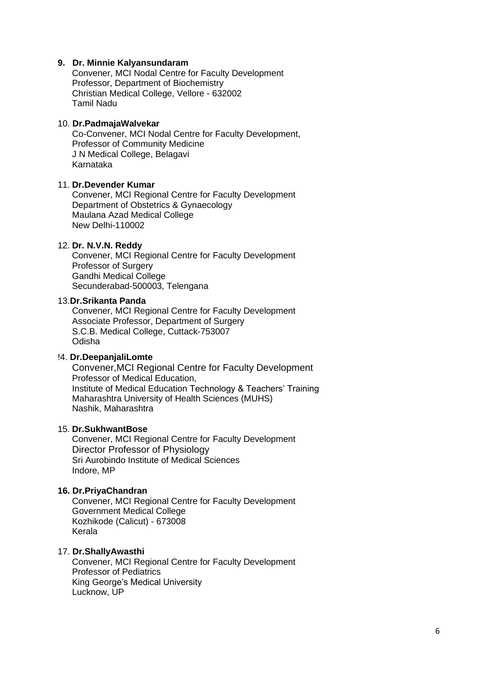#### **9. Dr. Minnie Kalyansundaram**

Convener, MCI Nodal Centre for Faculty Development Professor, Department of Biochemistry Christian Medical College, Vellore - 632002 Tamil Nadu

#### 10. **Dr.PadmajaWalvekar**

Co-Convener, MCI Nodal Centre for Faculty Development, Professor of Community Medicine J N Medical College, Belagavi Karnataka

#### 11. **Dr.Devender Kumar**

Convener, MCI Regional Centre for Faculty Development Department of Obstetrics & Gynaecology Maulana Azad Medical College New Delhi-110002

#### 12. **Dr. N.V.N. Reddy**

Convener, MCI Regional Centre for Faculty Development Professor of Surgery Gandhi Medical College Secunderabad-500003, Telengana

#### 13.**Dr.Srikanta Panda**

Convener, MCI Regional Centre for Faculty Development Associate Professor, Department of Surgery S.C.B. Medical College, Cuttack-753007 Odisha

## !4. **Dr.DeepanjaliLomte**

Convener,MCI Regional Centre for Faculty Development Professor of Medical Education, Institute of Medical Education Technology & Teachers' Training Maharashtra University of Health Sciences (MUHS) Nashik, Maharashtra

#### 15. **Dr.SukhwantBose**

Convener, MCI Regional Centre for Faculty Development Director Professor of Physiology Sri Aurobindo Institute of Medical Sciences Indore, MP

#### **16. Dr.PriyaChandran**

Convener, MCI Regional Centre for Faculty Development Government Medical College Kozhikode (Calicut) - 673008 Kerala

#### 17. **Dr.ShallyAwasthi**

Convener, MCI Regional Centre for Faculty Development Professor of Pediatrics King George's Medical University Lucknow, UP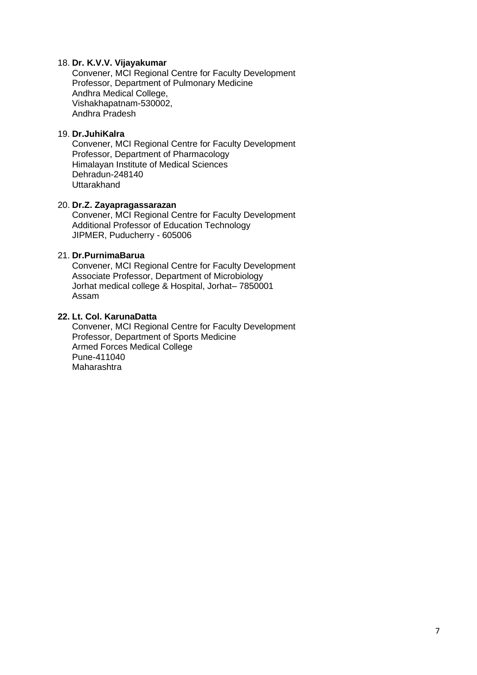## 18. **Dr. K.V.V. Vijayakumar**

Convener, MCI Regional Centre for Faculty Development Professor, Department of Pulmonary Medicine Andhra Medical College, Vishakhapatnam-530002, Andhra Pradesh

## 19. **Dr.JuhiKalra**

Convener, MCI Regional Centre for Faculty Development Professor, Department of Pharmacology Himalayan Institute of Medical Sciences Dehradun-248140 Uttarakhand

#### 20. **Dr.Z. Zayapragassarazan**

Convener, MCI Regional Centre for Faculty Development Additional Professor of Education Technology JIPMER, Puducherry - 605006

#### 21. **Dr.PurnimaBarua**

Convener, MCI Regional Centre for Faculty Development Associate Professor, Department of Microbiology Jorhat medical college & Hospital, Jorhat– 7850001 Assam

#### **22. Lt. Col. KarunaDatta**

Convener, MCI Regional Centre for Faculty Development Professor, Department of Sports Medicine Armed Forces Medical College Pune-411040 Maharashtra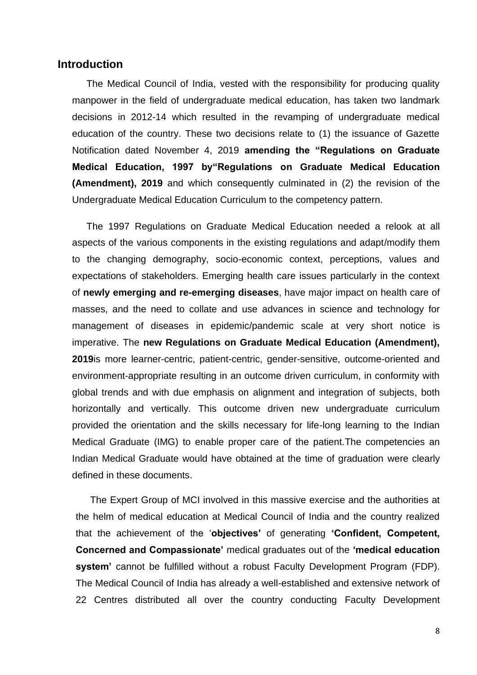## **Introduction**

The Medical Council of India, vested with the responsibility for producing quality manpower in the field of undergraduate medical education, has taken two landmark decisions in 2012-14 which resulted in the revamping of undergraduate medical education of the country. These two decisions relate to (1) the issuance of Gazette Notification dated November 4, 2019 **amending the "Regulations on Graduate Medical Education, 1997 by"Regulations on Graduate Medical Education (Amendment), 2019** and which consequently culminated in (2) the revision of the Undergraduate Medical Education Curriculum to the competency pattern.

The 1997 Regulations on Graduate Medical Education needed a relook at all aspects of the various components in the existing regulations and adapt/modify them to the changing demography, socio-economic context, perceptions, values and expectations of stakeholders. Emerging health care issues particularly in the context of **newly emerging and re-emerging diseases**, have major impact on health care of masses, and the need to collate and use advances in science and technology for management of diseases in epidemic/pandemic scale at very short notice is imperative. The **new Regulations on Graduate Medical Education (Amendment), 2019**is more learner-centric, patient-centric, gender-sensitive, outcome-oriented and environment-appropriate resulting in an outcome driven curriculum, in conformity with global trends and with due emphasis on alignment and integration of subjects, both horizontally and vertically. This outcome driven new undergraduate curriculum provided the orientation and the skills necessary for life-long learning to the Indian Medical Graduate (IMG) to enable proper care of the patient.The competencies an Indian Medical Graduate would have obtained at the time of graduation were clearly defined in these documents.

The Expert Group of MCI involved in this massive exercise and the authorities at the helm of medical education at Medical Council of India and the country realized that the achievement of the '**objectives'** of generating **'Confident, Competent, Concerned and Compassionate'** medical graduates out of the **'medical education system'** cannot be fulfilled without a robust Faculty Development Program (FDP). The Medical Council of India has already a well-established and extensive network of 22 Centres distributed all over the country conducting Faculty Development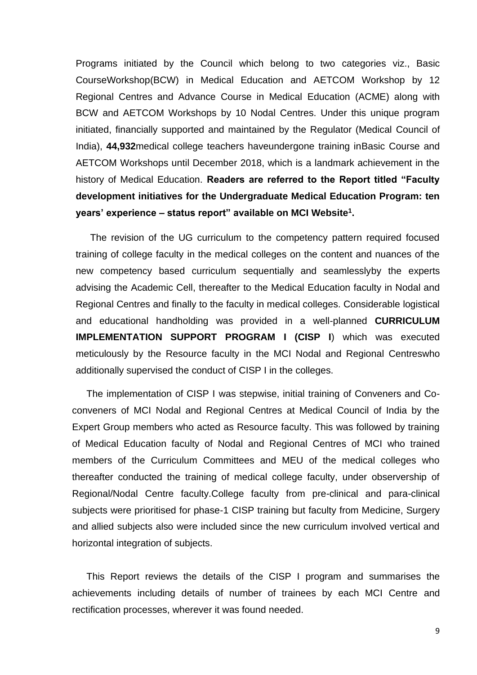Programs initiated by the Council which belong to two categories viz., Basic CourseWorkshop(BCW) in Medical Education and AETCOM Workshop by 12 Regional Centres and Advance Course in Medical Education (ACME) along with BCW and AETCOM Workshops by 10 Nodal Centres. Under this unique program initiated, financially supported and maintained by the Regulator (Medical Council of India), **44,932**medical college teachers haveundergone training inBasic Course and AETCOM Workshops until December 2018, which is a landmark achievement in the history of Medical Education. **Readers are referred to the Report titled "Faculty development initiatives for the Undergraduate Medical Education Program: ten years' experience – status report" available on MCI Website<sup>1</sup> .**

The revision of the UG curriculum to the competency pattern required focused training of college faculty in the medical colleges on the content and nuances of the new competency based curriculum sequentially and seamlesslyby the experts advising the Academic Cell, thereafter to the Medical Education faculty in Nodal and Regional Centres and finally to the faculty in medical colleges. Considerable logistical and educational handholding was provided in a well-planned **CURRICULUM IMPLEMENTATION SUPPORT PROGRAM I (CISP I**) which was executed meticulously by the Resource faculty in the MCI Nodal and Regional Centreswho additionally supervised the conduct of CISP I in the colleges.

The implementation of CISP I was stepwise, initial training of Conveners and Coconveners of MCI Nodal and Regional Centres at Medical Council of India by the Expert Group members who acted as Resource faculty. This was followed by training of Medical Education faculty of Nodal and Regional Centres of MCI who trained members of the Curriculum Committees and MEU of the medical colleges who thereafter conducted the training of medical college faculty, under observership of Regional/Nodal Centre faculty.College faculty from pre-clinical and para-clinical subjects were prioritised for phase-1 CISP training but faculty from Medicine, Surgery and allied subjects also were included since the new curriculum involved vertical and horizontal integration of subjects.

This Report reviews the details of the CISP I program and summarises the achievements including details of number of trainees by each MCI Centre and rectification processes, wherever it was found needed.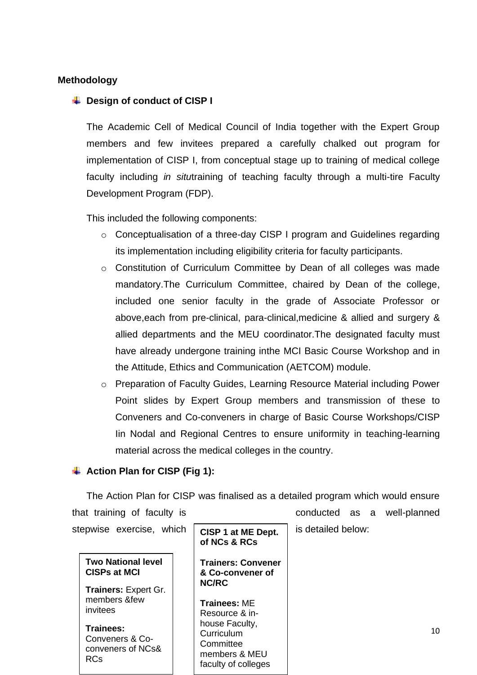## **Methodology**

## **↓** Design of conduct of CISP I

The Academic Cell of Medical Council of India together with the Expert Group members and few invitees prepared a carefully chalked out program for implementation of CISP I, from conceptual stage up to training of medical college faculty including *in situ*training of teaching faculty through a multi-tire Faculty Development Program (FDP).

This included the following components:

- o Conceptualisation of a three-day CISP I program and Guidelines regarding its implementation including eligibility criteria for faculty participants.
- o Constitution of Curriculum Committee by Dean of all colleges was made mandatory.The Curriculum Committee, chaired by Dean of the college, included one senior faculty in the grade of Associate Professor or above,each from pre-clinical, para-clinical,medicine & allied and surgery & allied departments and the MEU coordinator.The designated faculty must have already undergone training inthe MCI Basic Course Workshop and in the Attitude, Ethics and Communication (AETCOM) module.
- o Preparation of Faculty Guides, Learning Resource Material including Power Point slides by Expert Group members and transmission of these to Conveners and Co-conveners in charge of Basic Course Workshops/CISP Iin Nodal and Regional Centres to ensure uniformity in teaching-learning material across the medical colleges in the country.

## **Action Plan for CISP (Fig 1):**

The Action Plan for CISP was finalised as a detailed program which would ensure that training of faculty is conducted as a well-planned stepwise exercise, which  $\int$  cisp 1 at MF Dept is detailed below:

**Two National level CISPs at MCI** 

**Trainers:** Expert Gr. members &few invitees

**Trainees:**  Conveners & Coconveners of NCs& RCs

**CISP 1 at ME Dept. of NCs & RCs Trainers: Convener & Co-convener of NC/RC Trainees:** ME Resource & inhouse Faculty, **Curriculum** 

**Committee** 

members & MEU faculty of colleges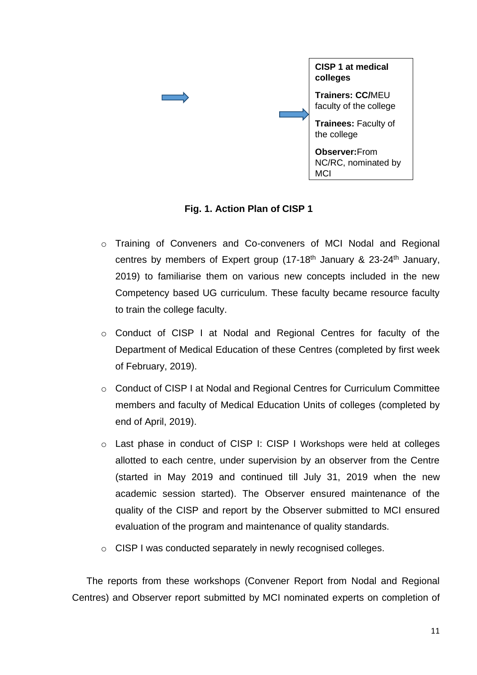

**Fig. 1. Action Plan of CISP 1**

- o Training of Conveners and Co-conveners of MCI Nodal and Regional centres by members of Expert group  $(17-18<sup>th</sup>$  January & 23-24<sup>th</sup> January, 2019) to familiarise them on various new concepts included in the new Competency based UG curriculum. These faculty became resource faculty to train the college faculty.
- o Conduct of CISP I at Nodal and Regional Centres for faculty of the Department of Medical Education of these Centres (completed by first week of February, 2019).
- o Conduct of CISP I at Nodal and Regional Centres for Curriculum Committee members and faculty of Medical Education Units of colleges (completed by end of April, 2019).
- o Last phase in conduct of CISP I: CISP I Workshops were held at colleges allotted to each centre, under supervision by an observer from the Centre (started in May 2019 and continued till July 31, 2019 when the new academic session started). The Observer ensured maintenance of the quality of the CISP and report by the Observer submitted to MCI ensured evaluation of the program and maintenance of quality standards.
- o CISP I was conducted separately in newly recognised colleges.

The reports from these workshops (Convener Report from Nodal and Regional Centres) and Observer report submitted by MCI nominated experts on completion of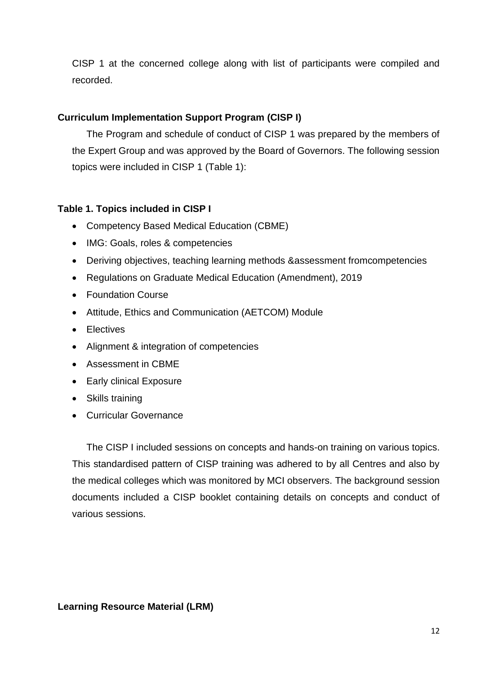CISP 1 at the concerned college along with list of participants were compiled and recorded.

## **Curriculum Implementation Support Program (CISP I)**

The Program and schedule of conduct of CISP 1 was prepared by the members of the Expert Group and was approved by the Board of Governors. The following session topics were included in CISP 1 (Table 1):

## **Table 1. Topics included in CISP I**

- Competency Based Medical Education (CBME)
- IMG: Goals, roles & competencies
- Deriving objectives, teaching learning methods &assessment fromcompetencies
- Regulations on Graduate Medical Education (Amendment), 2019
- Foundation Course
- Attitude, Ethics and Communication (AETCOM) Module
- Electives
- Alignment & integration of competencies
- Assessment in CBME
- Early clinical Exposure
- Skills training
- Curricular Governance

The CISP I included sessions on concepts and hands-on training on various topics. This standardised pattern of CISP training was adhered to by all Centres and also by the medical colleges which was monitored by MCI observers. The background session documents included a CISP booklet containing details on concepts and conduct of various sessions.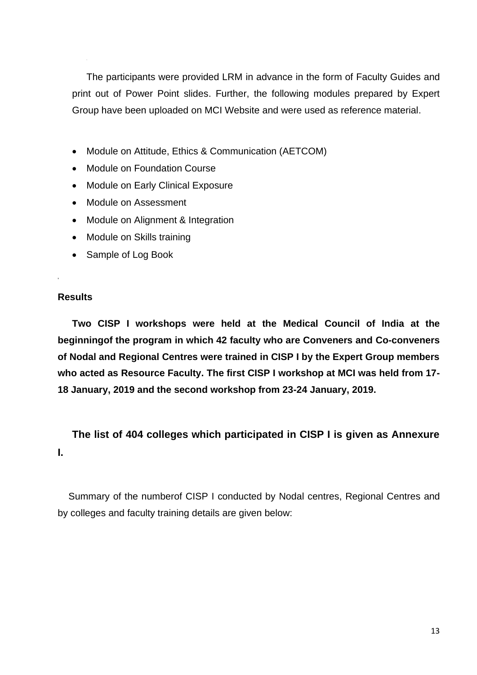The participants were provided LRM in advance in the form of Faculty Guides and print out of Power Point slides. Further, the following modules prepared by Expert Group have been uploaded on MCI Website and were used as reference material.

- Module on Attitude, Ethics & Communication (AETCOM)
- Module on Foundation Course
- Module on Early Clinical Exposure
- Module on Assessment
- Module on Alignment & Integration
- Module on Skills training
- Sample of Log Book

## **Results**

**,**

**Two CISP I workshops were held at the Medical Council of India at the beginningof the program in which 42 faculty who are Conveners and Co-conveners of Nodal and Regional Centres were trained in CISP I by the Expert Group members who acted as Resource Faculty. The first CISP I workshop at MCI was held from 17- 18 January, 2019 and the second workshop from 23-24 January, 2019.**

**The list of 404 colleges which participated in CISP I is given as Annexure I.**

Summary of the numberof CISP I conducted by Nodal centres, Regional Centres and by colleges and faculty training details are given below: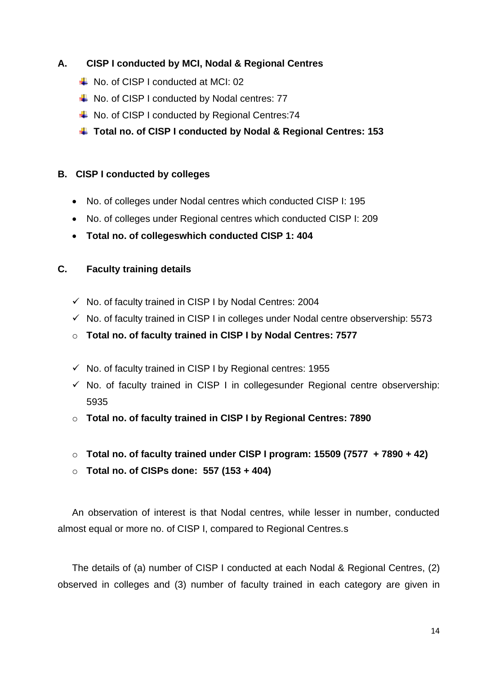## **A. CISP I conducted by MCI, Nodal & Regional Centres**

- $\downarrow$  No. of CISP I conducted at MCI: 02
- $\downarrow$  No. of CISP I conducted by Nodal centres: 77
- ↓ No. of CISP I conducted by Regional Centres:74
- **Total no. of CISP I conducted by Nodal & Regional Centres: 153**

## **B. CISP I conducted by colleges**

- No. of colleges under Nodal centres which conducted CISP I: 195
- No. of colleges under Regional centres which conducted CISP I: 209
- **Total no. of collegeswhich conducted CISP 1: 404**

## **C. Faculty training details**

- ✓ No. of faculty trained in CISP I by Nodal Centres: 2004
- $\checkmark$  No. of faculty trained in CISP I in colleges under Nodal centre observership: 5573
- o **Total no. of faculty trained in CISP I by Nodal Centres: 7577**
- $\checkmark$  No. of faculty trained in CISP I by Regional centres: 1955
- $\checkmark$  No. of faculty trained in CISP I in collegesunder Regional centre observership: 5935
- o **Total no. of faculty trained in CISP I by Regional Centres: 7890**
- o **Total no. of faculty trained under CISP I program: 15509 (7577 + 7890 + 42)**
- o **Total no. of CISPs done: 557 (153 + 404)**

An observation of interest is that Nodal centres, while lesser in number, conducted almost equal or more no. of CISP I, compared to Regional Centres.s

The details of (a) number of CISP I conducted at each Nodal & Regional Centres, (2) observed in colleges and (3) number of faculty trained in each category are given in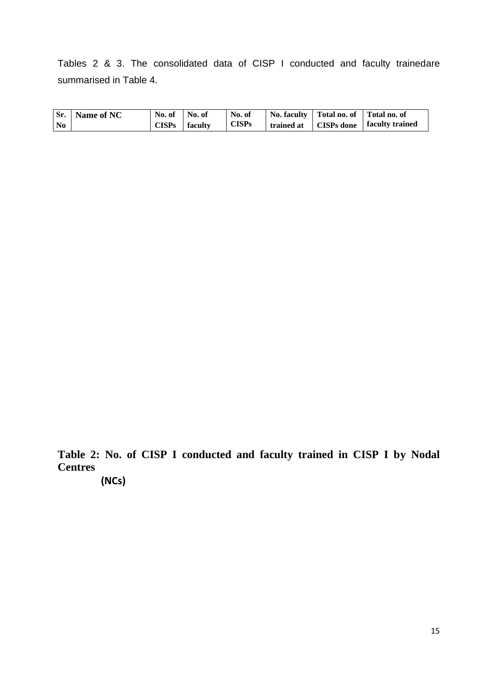Tables 2 & 3. The consolidated data of CISP I conducted and faculty trainedare summarised in Table 4.

|                | <b>Sr.</b> Name of NC | No. of       | No. of  | No. of       | No. faculty   Total no. of   Total no. of |                                                               |
|----------------|-----------------------|--------------|---------|--------------|-------------------------------------------|---------------------------------------------------------------|
| N <sub>0</sub> |                       | <b>CISPs</b> | faculty | <b>CISPs</b> |                                           | $\vert$ trained at $\vert$ CISPs done $\vert$ faculty trained |

**Table 2: No. of CISP I conducted and faculty trained in CISP I by Nodal Centres**

**(NCs)**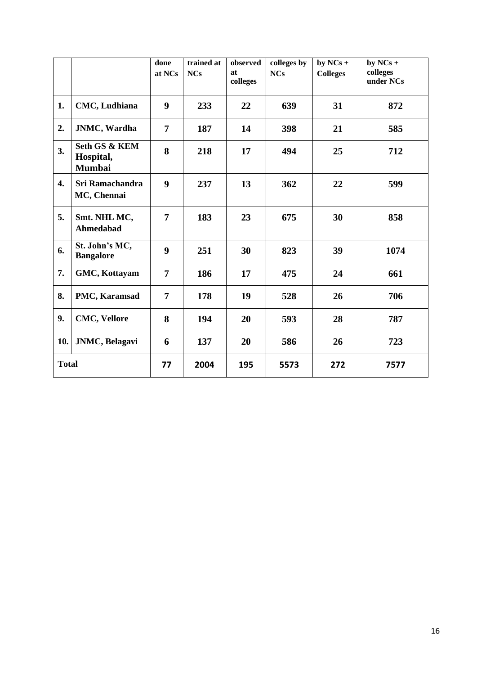|                  |                                                        | done<br>at NCs   | trained at<br><b>NCs</b> | observed<br>at<br>colleges | colleges by<br><b>NCs</b> | by $NCs +$<br><b>Colleges</b> | by $NCs +$<br>colleges<br>under NCs |
|------------------|--------------------------------------------------------|------------------|--------------------------|----------------------------|---------------------------|-------------------------------|-------------------------------------|
| 1.               | CMC, Ludhiana                                          | 9                | 233                      | 22                         | 639                       | 31                            | 872                                 |
| 2.               | <b>JNMC</b> , Wardha                                   | $\overline{7}$   | 187                      | 14                         | 398                       | 21                            | 585                                 |
| 3.               | <b>Seth GS &amp; KEM</b><br>Hospital,<br><b>Mumbai</b> | 8                | 218                      | 17                         | 494                       | 25                            | 712                                 |
| $\overline{4}$ . | Sri Ramachandra<br>MC, Chennai                         | $\boldsymbol{9}$ | 237                      | 13                         | 362                       | 22                            | 599                                 |
| 5.               | Smt. NHL MC,<br><b>Ahmedabad</b>                       | $\overline{7}$   | 183                      | 23                         | 675                       | 30                            | 858                                 |
| 6.               | St. John's MC,<br><b>Bangalore</b>                     | 9                | 251                      | 30                         | 823                       | 39                            | 1074                                |
| 7.               | GMC, Kottayam                                          | $\overline{7}$   | 186                      | 17                         | 475                       | 24                            | 661                                 |
| 8.               | PMC, Karamsad                                          | $\overline{7}$   | 178                      | 19                         | 528                       | 26                            | 706                                 |
| 9.               | <b>CMC, Vellore</b>                                    | 8                | 194                      | 20                         | 593                       | 28                            | 787                                 |
| 10.              | <b>JNMC</b> , Belagavi                                 | 6                | 137                      | 20                         | 586                       | 26                            | 723                                 |
| <b>Total</b>     |                                                        | 77               | 2004                     | 195                        | 5573                      | 272                           | 7577                                |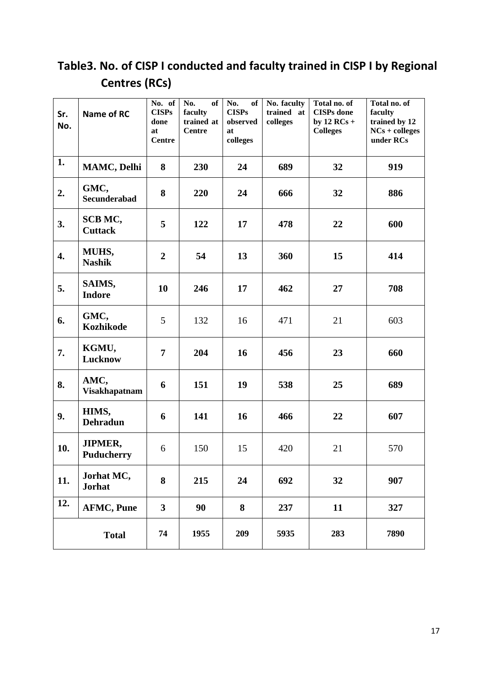# **Table3. No. of CISP I conducted and faculty trained in CISP I by Regional Centres (RCs)**

| Sr.<br>No. | Name of RC                          | No. of<br><b>CISPs</b><br>done<br>at<br><b>Centre</b> | of<br>No.<br>faculty<br>trained at<br><b>Centre</b> | No.<br>of<br><b>CISPs</b><br>observed<br>at<br>colleges | No. faculty<br>trained at<br>colleges | Total no. of<br><b>CISPs</b> done<br>by $12 RCs +$<br><b>Colleges</b> | Total no. of<br>faculty<br>trained by 12<br>$NCs + colleges$<br>under RCs |
|------------|-------------------------------------|-------------------------------------------------------|-----------------------------------------------------|---------------------------------------------------------|---------------------------------------|-----------------------------------------------------------------------|---------------------------------------------------------------------------|
| 1.         | MAMC, Delhi                         | 8                                                     | 230                                                 | 24                                                      | 689                                   | 32                                                                    | 919                                                                       |
| 2.         | GMC,<br><b>Secunderabad</b>         | 8                                                     | 220                                                 | 24                                                      | 666                                   | 32                                                                    | 886                                                                       |
| 3.         | SCB MC,<br><b>Cuttack</b>           | 5                                                     | 122                                                 | 17                                                      | 478                                   | 22                                                                    | 600                                                                       |
| 4.         | MUHS,<br><b>Nashik</b>              | $\overline{2}$                                        | 54                                                  | 13                                                      | 360                                   | 15                                                                    | 414                                                                       |
| 5.         | SAIMS,<br><b>Indore</b>             | 10                                                    | 246                                                 | 17                                                      | 462                                   | 27                                                                    | 708                                                                       |
| 6.         | GMC,<br><b>Kozhikode</b>            | 5                                                     | 132                                                 | 16                                                      | 471                                   | 21                                                                    | 603                                                                       |
| 7.         | KGMU,<br>Lucknow                    | $\overline{7}$                                        | 204                                                 | 16                                                      | 456                                   | 23                                                                    | 660                                                                       |
| 8.         | AMC,<br><b>Visakhapatnam</b>        | 6                                                     | 151                                                 | 19                                                      | 538                                   | 25                                                                    | 689                                                                       |
| 9.         | HIMS,<br><b>Dehradun</b>            | 6                                                     | 141                                                 | 16                                                      | 466                                   | 22                                                                    | 607                                                                       |
| 10.        | <b>JIPMER,</b><br><b>Puducherry</b> | 6                                                     | 150                                                 | 15                                                      | 420                                   | 21                                                                    | 570                                                                       |
| 11.        | Jorhat MC,<br><b>Jorhat</b>         | 8                                                     | 215                                                 | 24                                                      | 692                                   | 32                                                                    | 907                                                                       |
| 12.        | <b>AFMC, Pune</b>                   | $\overline{\mathbf{3}}$                               | 90                                                  | 8                                                       | 237                                   | 11                                                                    | 327                                                                       |
|            | <b>Total</b>                        | 74                                                    | 1955                                                | 209                                                     | 5935                                  | 283                                                                   | 7890                                                                      |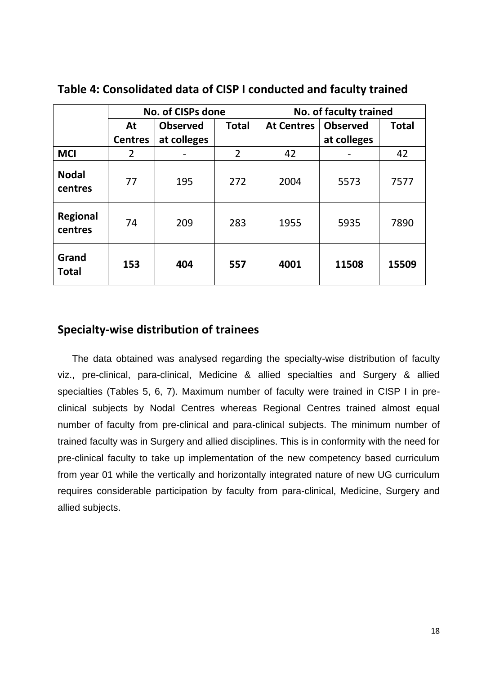|                            |                       | <b>No. of CISPs done</b> |                |                   | No. of faculty trained |              |
|----------------------------|-----------------------|--------------------------|----------------|-------------------|------------------------|--------------|
|                            | <b>Observed</b><br>At |                          | <b>Total</b>   | <b>At Centres</b> | <b>Observed</b>        | <b>Total</b> |
|                            | <b>Centres</b>        | at colleges              |                |                   | at colleges            |              |
| <b>MCI</b>                 | 2                     |                          | $\overline{2}$ | 42                |                        | 42           |
| <b>Nodal</b><br>centres    | 77                    | 195                      | 272            | 2004              | 5573                   | 7577         |
| <b>Regional</b><br>centres | 74                    | 209                      | 283            | 1955              | 5935                   | 7890         |
| Grand<br><b>Total</b>      | 153                   | 404                      | 557            | 4001              | 11508                  | 15509        |

**Table 4: Consolidated data of CISP I conducted and faculty trained** 

## **Specialty-wise distribution of trainees**

The data obtained was analysed regarding the specialty-wise distribution of faculty viz., pre-clinical, para-clinical, Medicine & allied specialties and Surgery & allied specialties (Tables 5, 6, 7). Maximum number of faculty were trained in CISP I in preclinical subjects by Nodal Centres whereas Regional Centres trained almost equal number of faculty from pre-clinical and para-clinical subjects. The minimum number of trained faculty was in Surgery and allied disciplines. This is in conformity with the need for pre-clinical faculty to take up implementation of the new competency based curriculum from year 01 while the vertically and horizontally integrated nature of new UG curriculum requires considerable participation by faculty from para-clinical, Medicine, Surgery and allied subjects.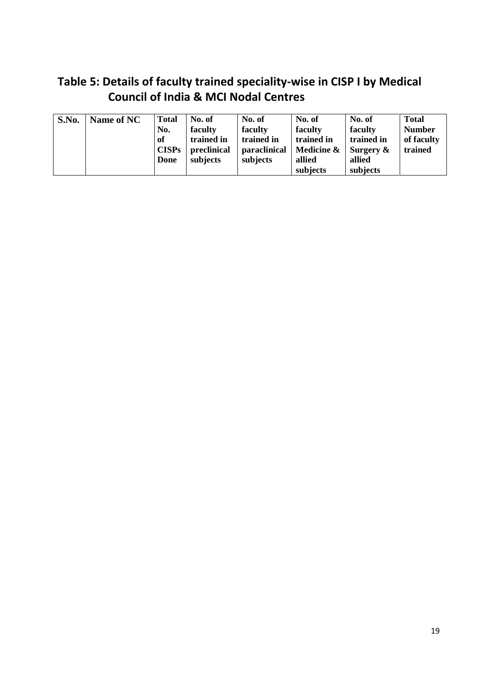# **Table 5: Details of faculty trained speciality-wise in CISP I by Medical Council of India & MCI Nodal Centres**

| S.No. | Name of NC | <b>Total</b> | No. of      | No. of       | No. of     | No. of       | <b>Total</b>  |
|-------|------------|--------------|-------------|--------------|------------|--------------|---------------|
|       |            | No.          | faculty     | faculty      | faculty    | faculty      | <b>Number</b> |
|       |            | of           | trained in  | trained in   | trained in | trained in   | of faculty    |
|       |            | <b>CISPs</b> | preclinical | paraclinical | Medicine & | Surgery $\&$ | trained       |
|       |            | Done         | subjects    | subjects     | allied     | allied       |               |
|       |            |              |             |              | subjects   | subjects     |               |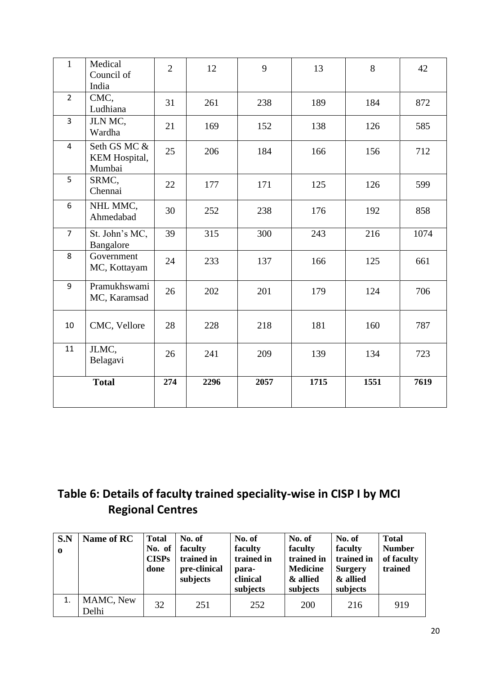| $\mathbf{1}$   | Medical<br>Council of<br>India          | $\overline{2}$ | 12   | 9    | 13   | 8    | 42   |
|----------------|-----------------------------------------|----------------|------|------|------|------|------|
| $\overline{2}$ | CMC,<br>Ludhiana                        | 31             | 261  | 238  | 189  | 184  | 872  |
| $\overline{3}$ | JLN MC,<br>Wardha                       | 21             | 169  | 152  | 138  | 126  | 585  |
| $\overline{4}$ | Seth GS MC &<br>KEM Hospital,<br>Mumbai | 25             | 206  | 184  | 166  | 156  | 712  |
| 5              | SRMC,<br>Chennai                        | 22             | 177  | 171  | 125  | 126  | 599  |
| 6              | NHL MMC,<br>Ahmedabad                   | 30             | 252  | 238  | 176  | 192  | 858  |
| $\overline{7}$ | St. John's MC,<br>Bangalore             | 39             | 315  | 300  | 243  | 216  | 1074 |
| 8              | Government<br>MC, Kottayam              | 24             | 233  | 137  | 166  | 125  | 661  |
| 9              | Pramukhswami<br>MC, Karamsad            | 26             | 202  | 201  | 179  | 124  | 706  |
| 10             | CMC, Vellore                            | 28             | 228  | 218  | 181  | 160  | 787  |
| 11             | JLMC,<br>Belagavi                       | 26             | 241  | 209  | 139  | 134  | 723  |
|                | <b>Total</b>                            | 274            | 2296 | 2057 | 1715 | 1551 | 7619 |

# **Table 6: Details of faculty trained speciality-wise in CISP I by MCI Regional Centres**

| S.N<br>$\mathbf 0$ | Name of RC         | <b>Total</b><br>No. of<br><b>CISPs</b><br>done | No. of<br>faculty<br>trained in<br>pre-clinical<br>subjects | No. of<br>faculty<br>trained in<br>para-<br>clinical<br>subjects | No. of<br>faculty<br>trained in<br><b>Medicine</b><br>& allied<br>subjects | No. of<br>faculty<br>trained in<br><b>Surgery</b><br>& allied<br>subjects | <b>Total</b><br><b>Number</b><br>of faculty<br>trained |
|--------------------|--------------------|------------------------------------------------|-------------------------------------------------------------|------------------------------------------------------------------|----------------------------------------------------------------------------|---------------------------------------------------------------------------|--------------------------------------------------------|
|                    | MAMC, New<br>Delhi | 32                                             | 251                                                         | 252                                                              | 200                                                                        | 216                                                                       | 919                                                    |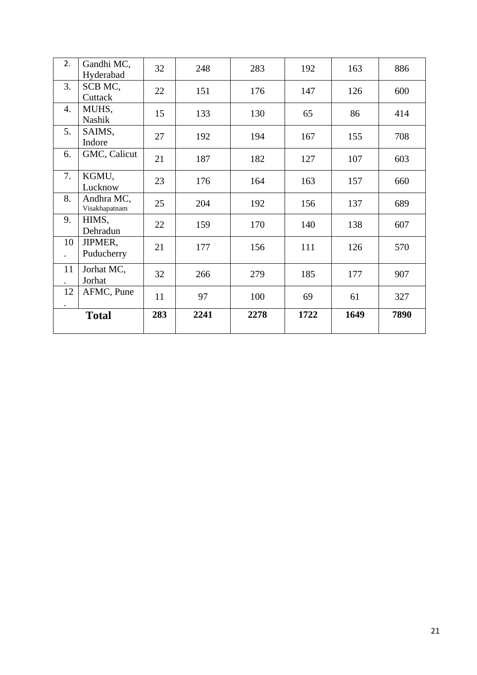| 2.                         | Gandhi MC,<br>Hyderabad     | 32  | 248  | 283  | 192  | 163  | 886  |
|----------------------------|-----------------------------|-----|------|------|------|------|------|
| 3.                         | SCB MC,<br>Cuttack          | 22  | 151  | 176  | 147  | 126  | 600  |
| $\overline{4}$ .           | MUHS,<br><b>Nashik</b>      | 15  | 133  | 130  | 65   | 86   | 414  |
| 5.                         | SAIMS,<br>Indore            | 27  | 192  | 194  | 167  | 155  | 708  |
| 6.                         | GMC, Calicut                | 21  | 187  | 182  | 127  | 107  | 603  |
| 7.                         | KGMU,<br>Lucknow            | 23  | 176  | 164  | 163  | 157  | 660  |
| 8.                         | Andhra MC,<br>Visakhapatnam | 25  | 204  | 192  | 156  | 137  | 689  |
| 9.                         | HIMS,<br>Dehradun           | 22  | 159  | 170  | 140  | 138  | 607  |
| 10<br>$\ddot{\phantom{a}}$ | JIPMER,<br>Puducherry       | 21  | 177  | 156  | 111  | 126  | 570  |
| 11                         | Jorhat MC,<br>Jorhat        | 32  | 266  | 279  | 185  | 177  | 907  |
| 12                         | AFMC, Pune                  | 11  | 97   | 100  | 69   | 61   | 327  |
|                            | <b>Total</b>                | 283 | 2241 | 2278 | 1722 | 1649 | 7890 |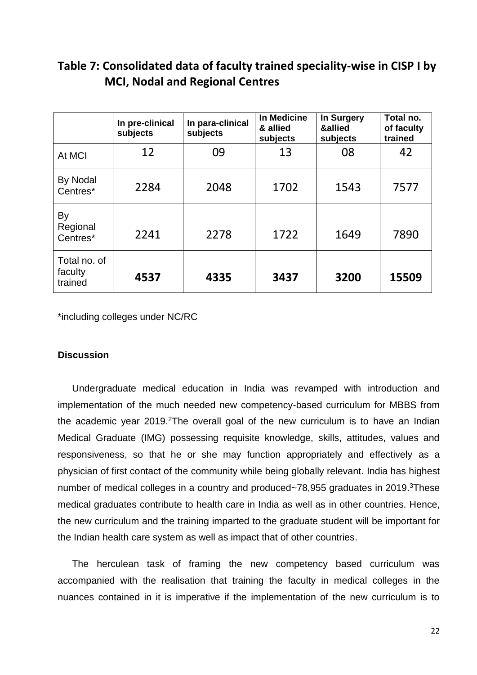# **Table 7: Consolidated data of faculty trained speciality-wise in CISP I by MCI, Nodal and Regional Centres**

|                                    | In pre-clinical<br>subjects | In para-clinical<br>subjects | In Medicine<br>& allied<br>subjects | In Surgery<br>&allied<br>subjects | Total no.<br>of faculty<br>trained |
|------------------------------------|-----------------------------|------------------------------|-------------------------------------|-----------------------------------|------------------------------------|
| At MCI                             | 12                          | 09                           | 13                                  | 08                                | 42                                 |
| By Nodal<br>Centres*               | 2284                        | 2048                         | 1702                                | 1543                              | 7577                               |
| By<br>Regional<br>Centres*         | 2241                        | 2278                         | 1722                                | 1649                              | 7890                               |
| Total no. of<br>faculty<br>trained | 4537                        | 4335                         | 3437                                | 3200                              | 15509                              |

\*including colleges under NC/RC

## **Discussion**

Undergraduate medical education in India was revamped with introduction and implementation of the much needed new competency-based curriculum for MBBS from the academic year 2019.<sup>2</sup>The overall goal of the new curriculum is to have an Indian Medical Graduate (IMG) possessing requisite knowledge, skills, attitudes, values and responsiveness, so that he or she may function appropriately and effectively as a physician of first contact of the community while being globally relevant. India has highest number of medical colleges in a country and produced~78,955 graduates in 2019.<sup>3</sup>These medical graduates contribute to health care in India as well as in other countries. Hence, the new curriculum and the training imparted to the graduate student will be important for the Indian health care system as well as impact that of other countries.

The herculean task of framing the new competency based curriculum was accompanied with the realisation that training the faculty in medical colleges in the nuances contained in it is imperative if the implementation of the new curriculum is to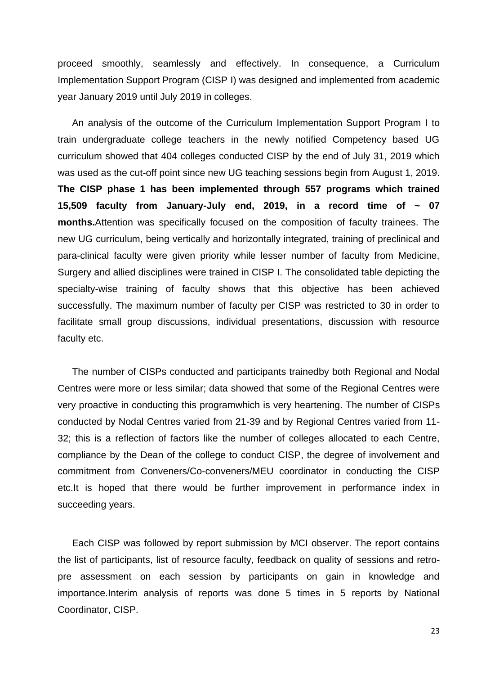proceed smoothly, seamlessly and effectively. In consequence, a Curriculum Implementation Support Program (CISP I) was designed and implemented from academic year January 2019 until July 2019 in colleges.

An analysis of the outcome of the Curriculum Implementation Support Program I to train undergraduate college teachers in the newly notified Competency based UG curriculum showed that 404 colleges conducted CISP by the end of July 31, 2019 which was used as the cut-off point since new UG teaching sessions begin from August 1, 2019. **The CISP phase 1 has been implemented through 557 programs which trained 15,509 faculty from January-July end, 2019, in a record time of ~ 07 months.**Attention was specifically focused on the composition of faculty trainees. The new UG curriculum, being vertically and horizontally integrated, training of preclinical and para-clinical faculty were given priority while lesser number of faculty from Medicine, Surgery and allied disciplines were trained in CISP I. The consolidated table depicting the specialty-wise training of faculty shows that this objective has been achieved successfully. The maximum number of faculty per CISP was restricted to 30 in order to facilitate small group discussions, individual presentations, discussion with resource faculty etc.

The number of CISPs conducted and participants trainedby both Regional and Nodal Centres were more or less similar; data showed that some of the Regional Centres were very proactive in conducting this programwhich is very heartening. The number of CISPs conducted by Nodal Centres varied from 21-39 and by Regional Centres varied from 11- 32; this is a reflection of factors like the number of colleges allocated to each Centre, compliance by the Dean of the college to conduct CISP, the degree of involvement and commitment from Conveners/Co-conveners/MEU coordinator in conducting the CISP etc.It is hoped that there would be further improvement in performance index in succeeding years.

Each CISP was followed by report submission by MCI observer. The report contains the list of participants, list of resource faculty, feedback on quality of sessions and retropre assessment on each session by participants on gain in knowledge and importance.Interim analysis of reports was done 5 times in 5 reports by National Coordinator, CISP.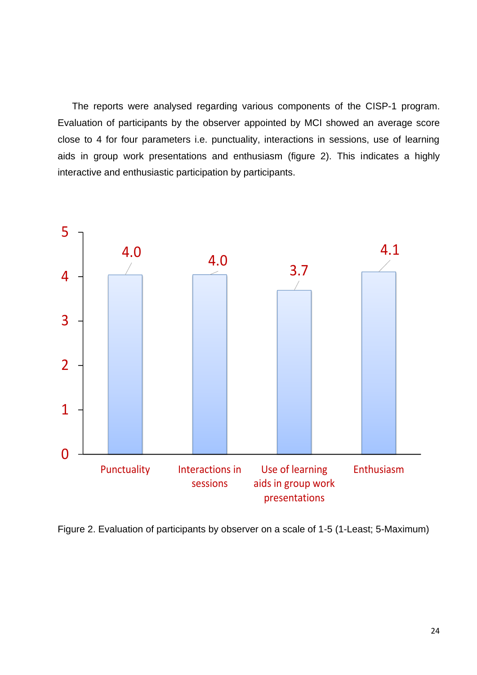The reports were analysed regarding various components of the CISP-1 program. Evaluation of participants by the observer appointed by MCI showed an average score close to 4 for four parameters i.e. punctuality, interactions in sessions, use of learning aids in group work presentations and enthusiasm (figure 2). This indicates a highly interactive and enthusiastic participation by participants.



Figure 2. Evaluation of participants by observer on a scale of 1-5 (1-Least; 5-Maximum)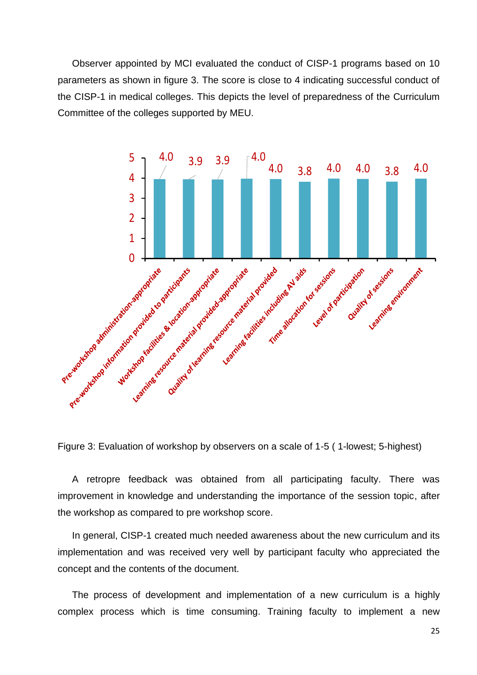Observer appointed by MCI evaluated the conduct of CISP-1 programs based on 10 parameters as shown in figure 3. The score is close to 4 indicating successful conduct of the CISP-1 in medical colleges. This depicts the level of preparedness of the Curriculum Committee of the colleges supported by MEU.



Figure 3: Evaluation of workshop by observers on a scale of 1-5 ( 1-lowest; 5-highest)

A retropre feedback was obtained from all participating faculty. There was improvement in knowledge and understanding the importance of the session topic, after the workshop as compared to pre workshop score.

In general, CISP-1 created much needed awareness about the new curriculum and its implementation and was received very well by participant faculty who appreciated the concept and the contents of the document.

The process of development and implementation of a new curriculum is a highly complex process which is time consuming. Training faculty to implement a new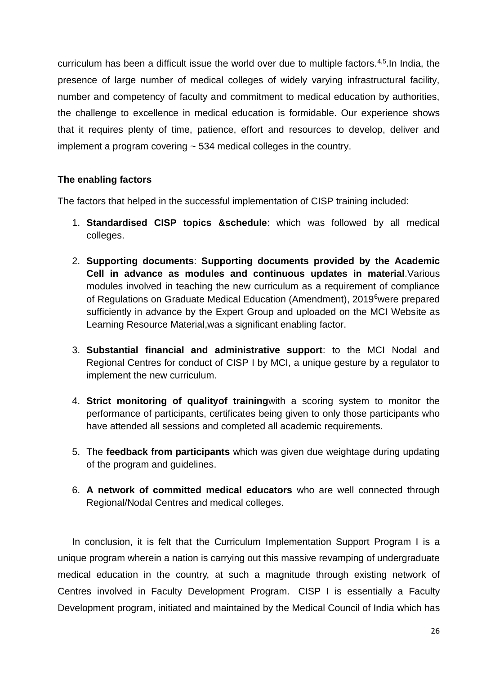curriculum has been a difficult issue the world over due to multiple factors.<sup>4,5</sup>. In India, the presence of large number of medical colleges of widely varying infrastructural facility, number and competency of faculty and commitment to medical education by authorities, the challenge to excellence in medical education is formidable. Our experience shows that it requires plenty of time, patience, effort and resources to develop, deliver and implement a program covering ~ 534 medical colleges in the country.

## **The enabling factors**

The factors that helped in the successful implementation of CISP training included:

- 1. **Standardised CISP topics &schedule**: which was followed by all medical colleges.
- 2. **Supporting documents**: **Supporting documents provided by the Academic Cell in advance as modules and continuous updates in material**.Various modules involved in teaching the new curriculum as a requirement of compliance of Regulations on Graduate Medical Education (Amendment), 2019<sup>6</sup>were prepared sufficiently in advance by the Expert Group and uploaded on the MCI Website as Learning Resource Material,was a significant enabling factor.
- 3. **Substantial financial and administrative support**: to the MCI Nodal and Regional Centres for conduct of CISP I by MCI, a unique gesture by a regulator to implement the new curriculum.
- 4. **Strict monitoring of qualityof training**with a scoring system to monitor the performance of participants, certificates being given to only those participants who have attended all sessions and completed all academic requirements.
- 5. The **feedback from participants** which was given due weightage during updating of the program and guidelines.
- 6. **A network of committed medical educators** who are well connected through Regional/Nodal Centres and medical colleges.

In conclusion, it is felt that the Curriculum Implementation Support Program I is a unique program wherein a nation is carrying out this massive revamping of undergraduate medical education in the country, at such a magnitude through existing network of Centres involved in Faculty Development Program. CISP I is essentially a Faculty Development program, initiated and maintained by the Medical Council of India which has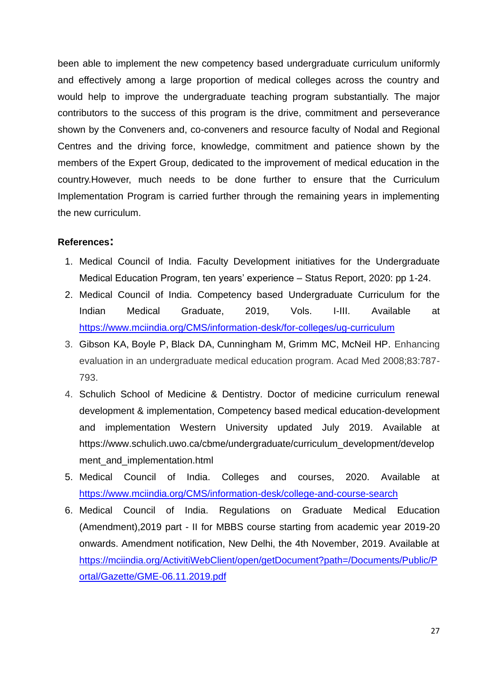been able to implement the new competency based undergraduate curriculum uniformly and effectively among a large proportion of medical colleges across the country and would help to improve the undergraduate teaching program substantially. The major contributors to the success of this program is the drive, commitment and perseverance shown by the Conveners and, co-conveners and resource faculty of Nodal and Regional Centres and the driving force, knowledge, commitment and patience shown by the members of the Expert Group, dedicated to the improvement of medical education in the country.However, much needs to be done further to ensure that the Curriculum Implementation Program is carried further through the remaining years in implementing the new curriculum.

## **References:**

- 1. Medical Council of India. Faculty Development initiatives for the Undergraduate Medical Education Program, ten years' experience – Status Report, 2020: pp 1-24.
- 2. Medical Council of India. Competency based Undergraduate Curriculum for the Indian Medical Graduate, 2019, Vols. I-III. Available at <https://www.mciindia.org/CMS/information-desk/for-colleges/ug-curriculum>
- 3. Gibson KA, Boyle P, Black DA, Cunningham M, Grimm MC, McNeil HP. Enhancing evaluation in an undergraduate medical education program. Acad Med 2008;83:787- 793.
- 4. Schulich School of Medicine & Dentistry. Doctor of medicine curriculum renewal development & implementation, Competency based medical education-development and implementation Western University updated July 2019. Available at https://www.schulich.uwo.ca/cbme/undergraduate/curriculum\_development/develop ment and implementation.html
- 5. Medical Council of India. Colleges and courses, 2020. Available at <https://www.mciindia.org/CMS/information-desk/college-and-course-search>
- 6. Medical Council of India. Regulations on Graduate Medical Education (Amendment),2019 part - II for MBBS course starting from academic year 2019-20 onwards. Amendment notification, New Delhi, the 4th November, 2019. Available at [https://mciindia.org/ActivitiWebClient/open/getDocument?path=/Documents/Public/P](https://mciindia.org/ActivitiWebClient/open/getDocument?path=/Documents/Public/Portal/Gazette/GME-06.11.2019.pdf) [ortal/Gazette/GME-06.11.2019.pdf](https://mciindia.org/ActivitiWebClient/open/getDocument?path=/Documents/Public/Portal/Gazette/GME-06.11.2019.pdf)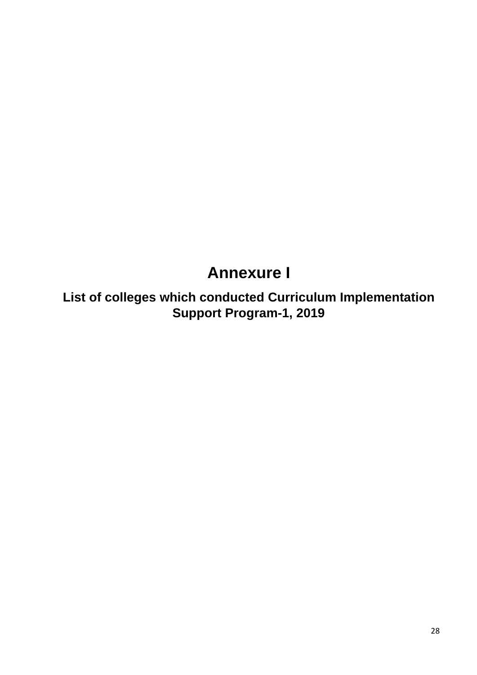# **Annexure I**

**List of colleges which conducted Curriculum Implementation Support Program-1, 2019**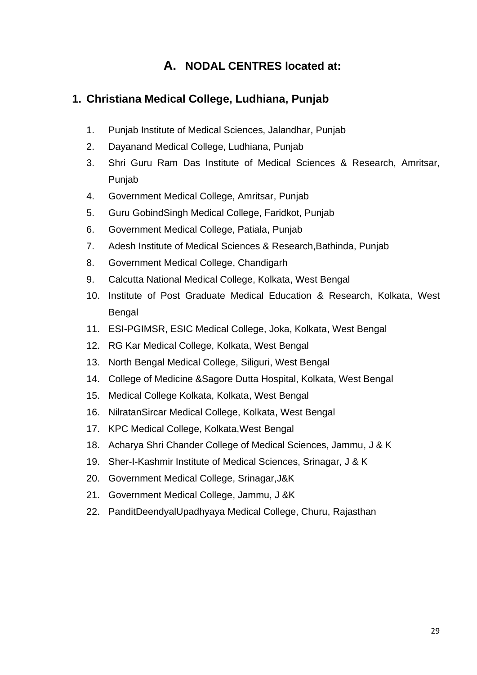# **A. NODAL CENTRES located at:**

## **1. Christiana Medical College, Ludhiana, Punjab**

- 1. Punjab Institute of Medical Sciences, Jalandhar, Punjab
- 2. Dayanand Medical College, Ludhiana, Punjab
- 3. Shri Guru Ram Das Institute of Medical Sciences & Research, Amritsar, Punjab
- 4. Government Medical College, Amritsar, Punjab
- 5. Guru GobindSingh Medical College, Faridkot, Punjab
- 6. Government Medical College, Patiala, Punjab
- 7. Adesh Institute of Medical Sciences & Research,Bathinda, Punjab
- 8. Government Medical College, Chandigarh
- 9. Calcutta National Medical College, Kolkata, West Bengal
- 10. Institute of Post Graduate Medical Education & Research, Kolkata, West Bengal
- 11. ESI-PGIMSR, ESIC Medical College, Joka, Kolkata, West Bengal
- 12. RG Kar Medical College, Kolkata, West Bengal
- 13. North Bengal Medical College, Siliguri, West Bengal
- 14. College of Medicine &Sagore Dutta Hospital, Kolkata, West Bengal
- 15. Medical College Kolkata, Kolkata, West Bengal
- 16. NilratanSircar Medical College, Kolkata, West Bengal
- 17. KPC Medical College, Kolkata,West Bengal
- 18. Acharya Shri Chander College of Medical Sciences, Jammu, J & K
- 19. Sher-I-Kashmir Institute of Medical Sciences, Srinagar, J & K
- 20. Government Medical College, Srinagar,J&K
- 21. Government Medical College, Jammu, J &K
- 22. PanditDeendyalUpadhyaya Medical College, Churu, Rajasthan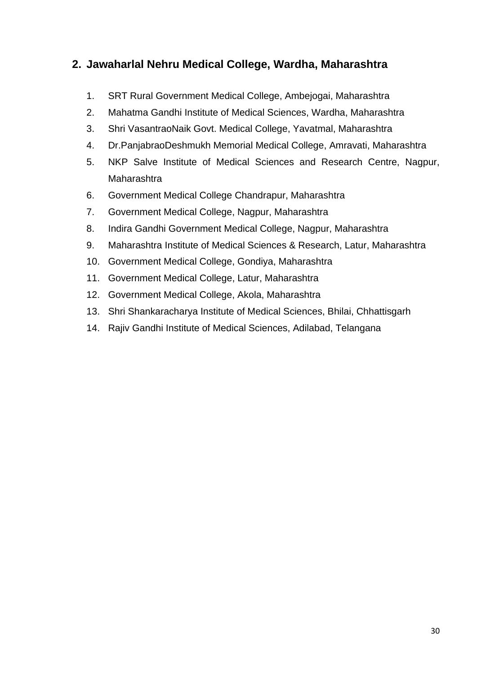# **2. Jawaharlal Nehru Medical College, Wardha, Maharashtra**

- 1. SRT Rural Government Medical College, Ambejogai, Maharashtra
- 2. Mahatma Gandhi Institute of Medical Sciences, Wardha, Maharashtra
- 3. Shri VasantraoNaik Govt. Medical College, Yavatmal, Maharashtra
- 4. Dr.PanjabraoDeshmukh Memorial Medical College, Amravati, Maharashtra
- 5. NKP Salve Institute of Medical Sciences and Research Centre, Nagpur, Maharashtra
- 6. Government Medical College Chandrapur, Maharashtra
- 7. Government Medical College, Nagpur, Maharashtra
- 8. Indira Gandhi Government Medical College, Nagpur, Maharashtra
- 9. Maharashtra Institute of Medical Sciences & Research, Latur, Maharashtra
- 10. Government Medical College, Gondiya, Maharashtra
- 11. Government Medical College, Latur, Maharashtra
- 12. Government Medical College, Akola, Maharashtra
- 13. Shri Shankaracharya Institute of Medical Sciences, Bhilai, Chhattisgarh
- 14. Rajiv Gandhi Institute of Medical Sciences, Adilabad, Telangana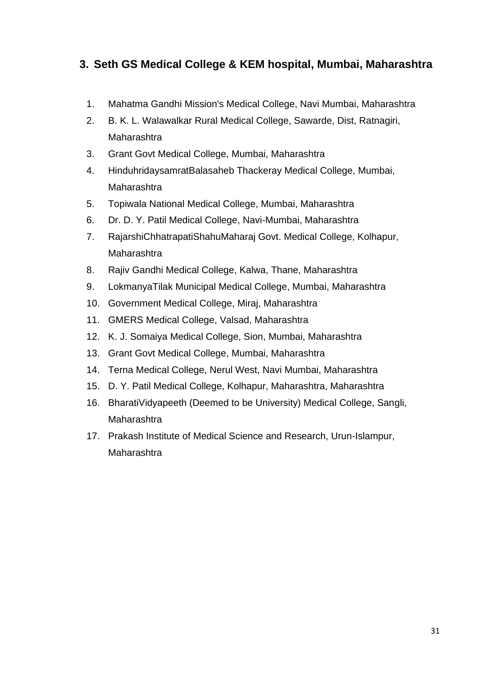# **3. Seth GS Medical College & KEM hospital, Mumbai, Maharashtra**

- 1. Mahatma Gandhi Mission's Medical College, Navi Mumbai, Maharashtra
- 2. B. K. L. Walawalkar Rural Medical College, Sawarde, Dist, Ratnagiri, Maharashtra
- 3. Grant Govt Medical College, Mumbai, Maharashtra
- 4. HinduhridaysamratBalasaheb Thackeray Medical College, Mumbai, Maharashtra
- 5. Topiwala National Medical College, Mumbai, Maharashtra
- 6. Dr. D. Y. Patil Medical College, Navi-Mumbai, Maharashtra
- 7. RajarshiChhatrapatiShahuMaharaj Govt. Medical College, Kolhapur, Maharashtra
- 8. Rajiv Gandhi Medical College, Kalwa, Thane, Maharashtra
- 9. LokmanyaTilak Municipal Medical College, Mumbai, Maharashtra
- 10. Government Medical College, Miraj, Maharashtra
- 11. GMERS Medical College, Valsad, Maharashtra
- 12. K. J. Somaiya Medical College, Sion, Mumbai, Maharashtra
- 13. Grant Govt Medical College, Mumbai, Maharashtra
- 14. Terna Medical College, Nerul West, Navi Mumbai, Maharashtra
- 15. D. Y. Patil Medical College, Kolhapur, Maharashtra, Maharashtra
- 16. BharatiVidyapeeth (Deemed to be University) Medical College, Sangli, **Maharashtra**
- 17. Prakash Institute of Medical Science and Research, Urun-Islampur, Maharashtra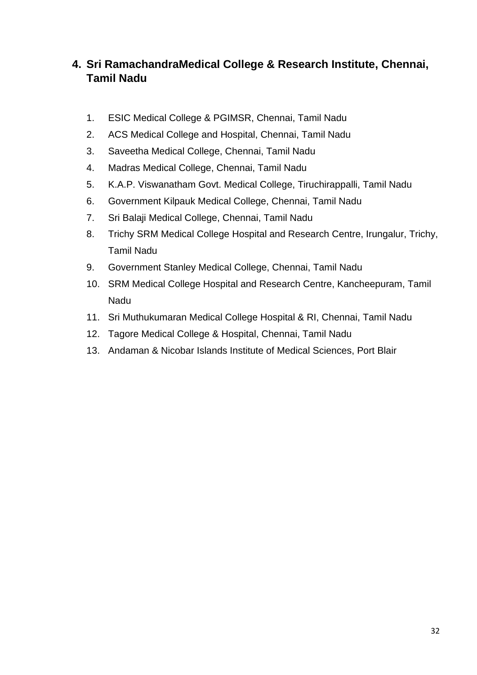# **4. Sri RamachandraMedical College & Research Institute, Chennai, Tamil Nadu**

- 1. ESIC Medical College & PGIMSR, Chennai, Tamil Nadu
- 2. ACS Medical College and Hospital, Chennai, Tamil Nadu
- 3. Saveetha Medical College, Chennai, Tamil Nadu
- 4. Madras Medical College, Chennai, Tamil Nadu
- 5. K.A.P. Viswanatham Govt. Medical College, Tiruchirappalli, Tamil Nadu
- 6. Government Kilpauk Medical College, Chennai, Tamil Nadu
- 7. Sri Balaji Medical College, Chennai, Tamil Nadu
- 8. Trichy SRM Medical College Hospital and Research Centre, Irungalur, Trichy, Tamil Nadu
- 9. Government Stanley Medical College, Chennai, Tamil Nadu
- 10. SRM Medical College Hospital and Research Centre, Kancheepuram, Tamil Nadu
- 11. Sri Muthukumaran Medical College Hospital & RI, Chennai, Tamil Nadu
- 12. Tagore Medical College & Hospital, Chennai, Tamil Nadu
- 13. Andaman & Nicobar Islands Institute of Medical Sciences, Port Blair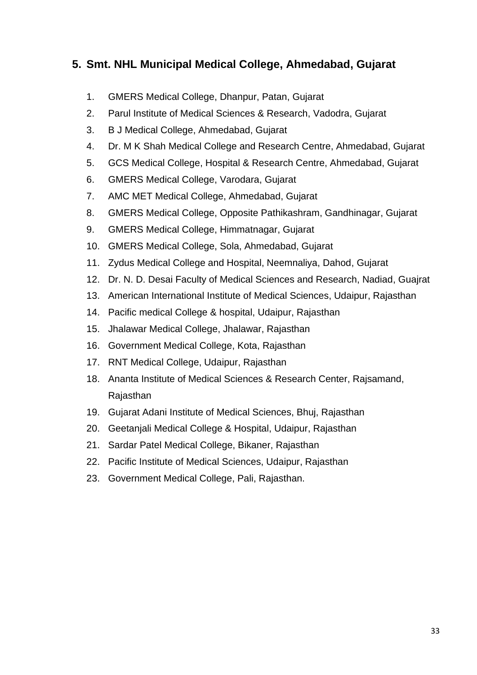## **5. Smt. NHL Municipal Medical College, Ahmedabad, Gujarat**

- 1. GMERS Medical College, Dhanpur, Patan, Gujarat
- 2. Parul Institute of Medical Sciences & Research, Vadodra, Gujarat
- 3. B J Medical College, Ahmedabad, Gujarat
- 4. Dr. M K Shah Medical College and Research Centre, Ahmedabad, Gujarat
- 5. GCS Medical College, Hospital & Research Centre, Ahmedabad, Gujarat
- 6. GMERS Medical College, Varodara, Gujarat
- 7. AMC MET Medical College, Ahmedabad, Gujarat
- 8. GMERS Medical College, Opposite Pathikashram, Gandhinagar, Gujarat
- 9. GMERS Medical College, Himmatnagar, Gujarat
- 10. GMERS Medical College, Sola, Ahmedabad, Gujarat
- 11. Zydus Medical College and Hospital, Neemnaliya, Dahod, Gujarat
- 12. Dr. N. D. Desai Faculty of Medical Sciences and Research, Nadiad, Guajrat
- 13. American International Institute of Medical Sciences, Udaipur, Rajasthan
- 14. Pacific medical College & hospital, Udaipur, Rajasthan
- 15. Jhalawar Medical College, Jhalawar, Rajasthan
- 16. Government Medical College, Kota, Rajasthan
- 17. RNT Medical College, Udaipur, Rajasthan
- 18. Ananta Institute of Medical Sciences & Research Center, Rajsamand, Rajasthan
- 19. Gujarat Adani Institute of Medical Sciences, Bhuj, Rajasthan
- 20. Geetanjali Medical College & Hospital, Udaipur, Rajasthan
- 21. Sardar Patel Medical College, Bikaner, Rajasthan
- 22. Pacific Institute of Medical Sciences, Udaipur, Rajasthan
- 23. Government Medical College, Pali, Rajasthan.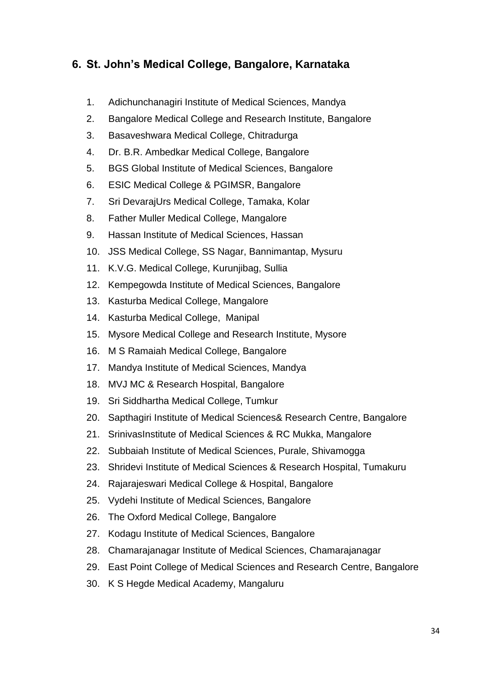# **6. St. John's Medical College, Bangalore, Karnataka**

- 1. Adichunchanagiri Institute of Medical Sciences, Mandya
- 2. Bangalore Medical College and Research Institute, Bangalore
- 3. Basaveshwara Medical College, Chitradurga
- 4. Dr. B.R. Ambedkar Medical College, Bangalore
- 5. BGS Global Institute of Medical Sciences, Bangalore
- 6. ESIC Medical College & PGIMSR, Bangalore
- 7. Sri DevarajUrs Medical College, Tamaka, Kolar
- 8. Father Muller Medical College, Mangalore
- 9. Hassan Institute of Medical Sciences, Hassan
- 10. JSS Medical College, SS Nagar, Bannimantap, Mysuru
- 11. K.V.G. Medical College, Kurunjibag, Sullia
- 12. Kempegowda Institute of Medical Sciences, Bangalore
- 13. Kasturba Medical College, Mangalore
- 14. Kasturba Medical College, Manipal
- 15. Mysore Medical College and Research Institute, Mysore
- 16. M S Ramaiah Medical College, Bangalore
- 17. Mandya Institute of Medical Sciences, Mandya
- 18. MVJ MC & Research Hospital, Bangalore
- 19. Sri Siddhartha Medical College, Tumkur
- 20. Sapthagiri Institute of Medical Sciences& Research Centre, Bangalore
- 21. SrinivasInstitute of Medical Sciences & RC Mukka, Mangalore
- 22. Subbaiah Institute of Medical Sciences, Purale, Shivamogga
- 23. Shridevi Institute of Medical Sciences & Research Hospital, Tumakuru
- 24. Rajarajeswari Medical College & Hospital, Bangalore
- 25. Vydehi Institute of Medical Sciences, Bangalore
- 26. The Oxford Medical College, Bangalore
- 27. Kodagu Institute of Medical Sciences, Bangalore
- 28. Chamarajanagar Institute of Medical Sciences, Chamarajanagar
- 29. East Point College of Medical Sciences and Research Centre, Bangalore
- 30. K S Hegde Medical Academy, Mangaluru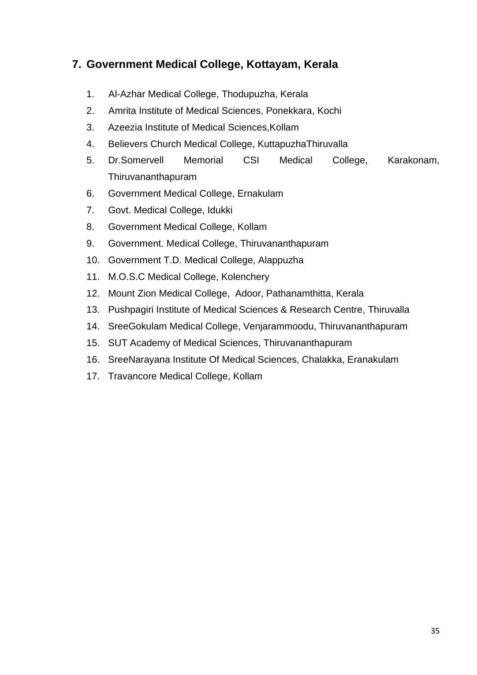# **7. Government Medical College, Kottayam, Kerala**

- 1. Al-Azhar Medical College, Thodupuzha, Kerala
- 2. Amrita Institute of Medical Sciences, Ponekkara, Kochi
- 3. Azeezia Institute of Medical Sciences,Kollam
- 4. Believers Church Medical College, KuttapuzhaThiruvalla
- 5. Dr.Somervell Memorial CSI Medical College, Karakonam, Thiruvananthapuram
- 6. Government Medical College, Ernakulam
- 7. Govt. Medical College, Idukki
- 8. Government Medical College, Kollam
- 9. Government. Medical College, Thiruvananthapuram
- 10. Government T.D. Medical College, Alappuzha
- 11. M.O.S.C Medical College, Kolenchery
- 12. Mount Zion Medical College, Adoor, Pathanamthitta, Kerala
- 13. Pushpagiri Institute of Medical Sciences & Research Centre, Thiruvalla
- 14. SreeGokulam Medical College, Venjarammoodu, Thiruvananthapuram
- 15. SUT Academy of Medical Sciences, Thiruvananthapuram
- 16. SreeNarayana Institute Of Medical Sciences, Chalakka, Eranakulam
- 17. Travancore Medical College, Kollam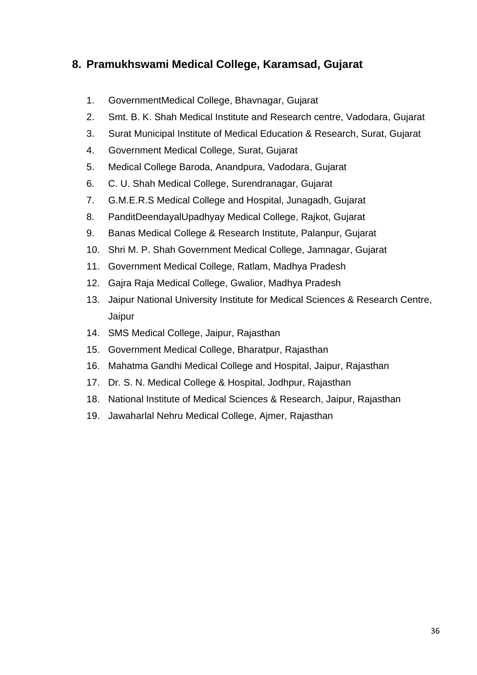# **8. Pramukhswami Medical College, Karamsad, Gujarat**

- 1. GovernmentMedical College, Bhavnagar, Gujarat
- 2. Smt. B. K. Shah Medical Institute and Research centre, Vadodara, Gujarat
- 3. Surat Municipal Institute of Medical Education & Research, Surat, Gujarat
- 4. Government Medical College, Surat, Gujarat
- 5. Medical College Baroda, Anandpura, Vadodara, Gujarat
- 6. C. U. Shah Medical College, Surendranagar, Gujarat
- 7. G.M.E.R.S Medical College and Hospital, Junagadh, Gujarat
- 8. PanditDeendayalUpadhyay Medical College, Rajkot, Gujarat
- 9. Banas Medical College & Research Institute, Palanpur, Gujarat
- 10. Shri M. P. Shah Government Medical College, Jamnagar, Gujarat
- 11. Government Medical College, Ratlam, Madhya Pradesh
- 12. Gajra Raja Medical College, Gwalior, Madhya Pradesh
- 13. Jaipur National University Institute for Medical Sciences & Research Centre, Jaipur
- 14. SMS Medical College, Jaipur, Rajasthan
- 15. Government Medical College, Bharatpur, Rajasthan
- 16. Mahatma Gandhi Medical College and Hospital, Jaipur, Rajasthan
- 17. Dr. S. N. Medical College & Hospital, Jodhpur, Rajasthan
- 18. National Institute of Medical Sciences & Research, Jaipur, Rajasthan
- 19. Jawaharlal Nehru Medical College, Ajmer, Rajasthan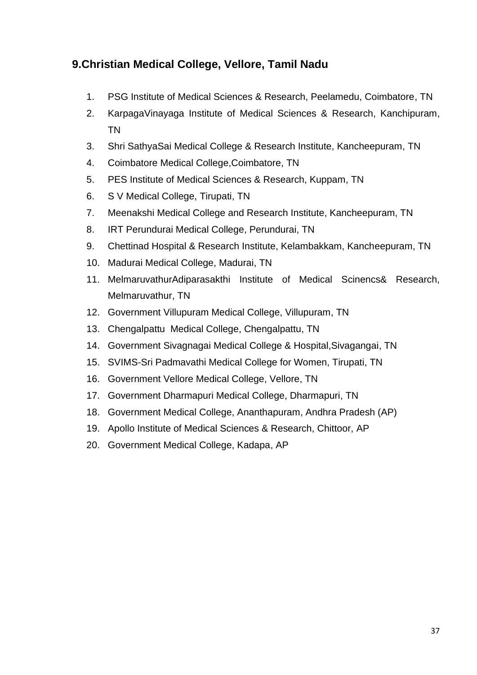# **9.Christian Medical College, Vellore, Tamil Nadu**

- 1. PSG Institute of Medical Sciences & Research, Peelamedu, Coimbatore, TN
- 2. KarpagaVinayaga Institute of Medical Sciences & Research, Kanchipuram, TN
- 3. Shri SathyaSai Medical College & Research Institute, Kancheepuram, TN
- 4. Coimbatore Medical College,Coimbatore, TN
- 5. PES Institute of Medical Sciences & Research, Kuppam, TN
- 6. S V Medical College, Tirupati, TN
- 7. Meenakshi Medical College and Research Institute, Kancheepuram, TN
- 8. IRT Perundurai Medical College, Perundurai, TN
- 9. Chettinad Hospital & Research Institute, Kelambakkam, Kancheepuram, TN
- 10. Madurai Medical College, Madurai, TN
- 11. MelmaruvathurAdiparasakthi Institute of Medical Scinencs& Research, Melmaruvathur, TN
- 12. Government Villupuram Medical College, Villupuram, TN
- 13. Chengalpattu Medical College, Chengalpattu, TN
- 14. Government Sivagnagai Medical College & Hospital,Sivagangai, TN
- 15. SVIMS-Sri Padmavathi Medical College for Women, Tirupati, TN
- 16. Government Vellore Medical College, Vellore, TN
- 17. Government Dharmapuri Medical College, Dharmapuri, TN
- 18. Government Medical College, Ananthapuram, Andhra Pradesh (AP)
- 19. Apollo Institute of Medical Sciences & Research, Chittoor, AP
- 20. Government Medical College, Kadapa, AP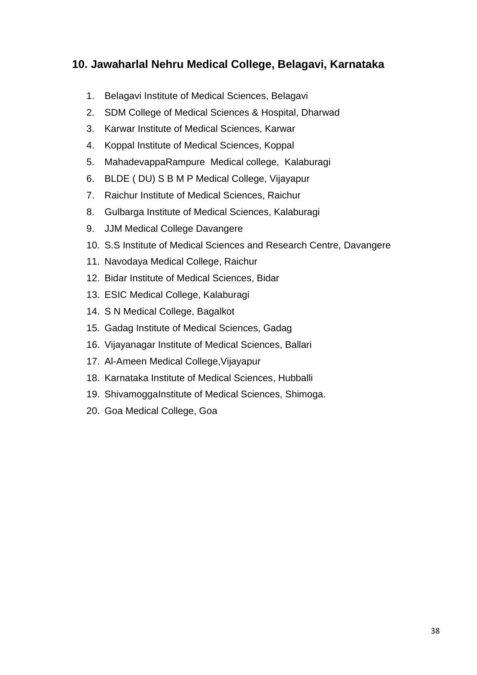# **10. Jawaharlal Nehru Medical College, Belagavi, Karnataka**

- 1. Belagavi Institute of Medical Sciences, Belagavi
- 2. SDM College of Medical Sciences & Hospital, Dharwad
- 3. Karwar Institute of Medical Sciences, Karwar
- 4. Koppal Institute of Medical Sciences, Koppal
- 5. MahadevappaRampure Medical college, Kalaburagi
- 6. BLDE ( DU) S B M P Medical College, Vijayapur
- 7. Raichur Institute of Medical Sciences, Raichur
- 8. Gulbarga Institute of Medical Sciences, Kalaburagi
- 9. JJM Medical College Davangere
- 10. S.S Institute of Medical Sciences and Research Centre, Davangere
- 11. Navodaya Medical College, Raichur
- 12. Bidar Institute of Medical Sciences, Bidar
- 13. ESIC Medical College, Kalaburagi
- 14. S N Medical College, Bagalkot
- 15. Gadag Institute of Medical Sciences, Gadag
- 16. Vijayanagar Institute of Medical Sciences, Ballari
- 17. Al-Ameen Medical College,Vijayapur
- 18. Karnataka Institute of Medical Sciences, Hubballi
- 19. ShivamoggaInstitute of Medical Sciences, Shimoga.
- 20. Goa Medical College, Goa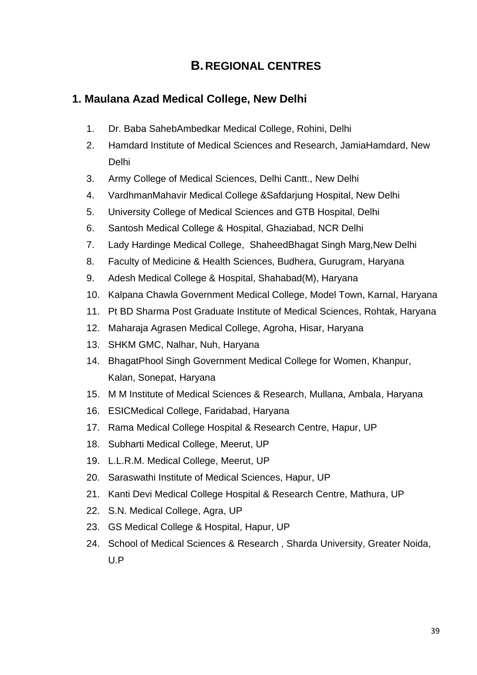# **B. REGIONAL CENTRES**

# **1. Maulana Azad Medical College, New Delhi**

- 1. Dr. Baba SahebAmbedkar Medical College, Rohini, Delhi
- 2. Hamdard Institute of Medical Sciences and Research, JamiaHamdard, New Delhi
- 3. Army College of Medical Sciences, Delhi Cantt., New Delhi
- 4. VardhmanMahavir Medical College &Safdarjung Hospital, New Delhi
- 5. University College of Medical Sciences and GTB Hospital, Delhi
- 6. Santosh Medical College & Hospital, Ghaziabad, NCR Delhi
- 7. Lady Hardinge Medical College, ShaheedBhagat Singh Marg,New Delhi
- 8. Faculty of Medicine & Health Sciences, Budhera, Gurugram, Haryana
- 9. Adesh Medical College & Hospital, Shahabad(M), Haryana
- 10. Kalpana Chawla Government Medical College, Model Town, Karnal, Haryana
- 11. Pt BD Sharma Post Graduate Institute of Medical Sciences, Rohtak, Haryana
- 12. Maharaja Agrasen Medical College, Agroha, Hisar, Haryana
- 13. SHKM GMC, Nalhar, Nuh, Haryana
- 14. BhagatPhool Singh Government Medical College for Women, Khanpur, Kalan, Sonepat, Haryana
- 15. M M Institute of Medical Sciences & Research, Mullana, Ambala, Haryana
- 16. ESICMedical College, Faridabad, Haryana
- 17. Rama Medical College Hospital & Research Centre, Hapur, UP
- 18. Subharti Medical College, Meerut, UP
- 19. L.L.R.M. Medical College, Meerut, UP
- 20. Saraswathi Institute of Medical Sciences, Hapur, UP
- 21. Kanti Devi Medical College Hospital & Research Centre, Mathura, UP
- 22. S.N. Medical College, Agra, UP
- 23. GS Medical College & Hospital, Hapur, UP
- 24. School of Medical Sciences & Research , Sharda University, Greater Noida, U.P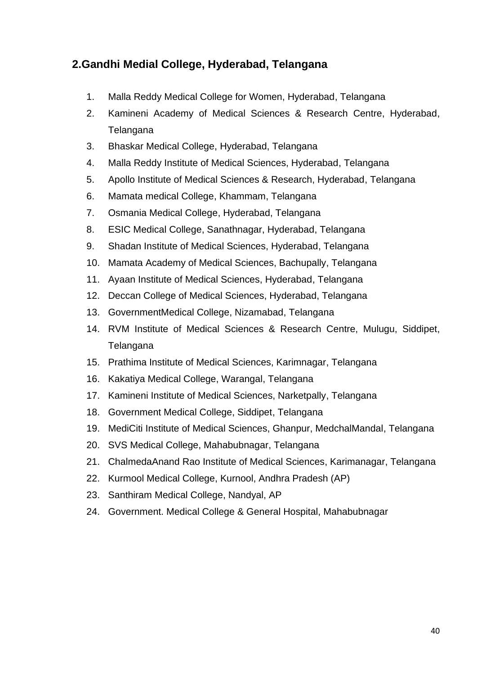# **2.Gandhi Medial College, Hyderabad, Telangana**

- 1. Malla Reddy Medical College for Women, Hyderabad, Telangana
- 2. Kamineni Academy of Medical Sciences & Research Centre, Hyderabad, Telangana
- 3. Bhaskar Medical College, Hyderabad, Telangana
- 4. Malla Reddy Institute of Medical Sciences, Hyderabad, Telangana
- 5. Apollo Institute of Medical Sciences & Research, Hyderabad, Telangana
- 6. Mamata medical College, Khammam, Telangana
- 7. Osmania Medical College, Hyderabad, Telangana
- 8. ESIC Medical College, Sanathnagar, Hyderabad, Telangana
- 9. Shadan Institute of Medical Sciences, Hyderabad, Telangana
- 10. Mamata Academy of Medical Sciences, Bachupally, Telangana
- 11. Ayaan Institute of Medical Sciences, Hyderabad, Telangana
- 12. Deccan College of Medical Sciences, Hyderabad, Telangana
- 13. GovernmentMedical College, Nizamabad, Telangana
- 14. RVM Institute of Medical Sciences & Research Centre, Mulugu, Siddipet, Telangana
- 15. Prathima Institute of Medical Sciences, Karimnagar, Telangana
- 16. Kakatiya Medical College, Warangal, Telangana
- 17. Kamineni Institute of Medical Sciences, Narketpally, Telangana
- 18. Government Medical College, Siddipet, Telangana
- 19. MediCiti Institute of Medical Sciences, Ghanpur, MedchalMandal, Telangana
- 20. SVS Medical College, Mahabubnagar, Telangana
- 21. ChalmedaAnand Rao Institute of Medical Sciences, Karimanagar, Telangana
- 22. Kurmool Medical College, Kurnool, Andhra Pradesh (AP)
- 23. Santhiram Medical College, Nandyal, AP
- 24. Government. Medical College & General Hospital, Mahabubnagar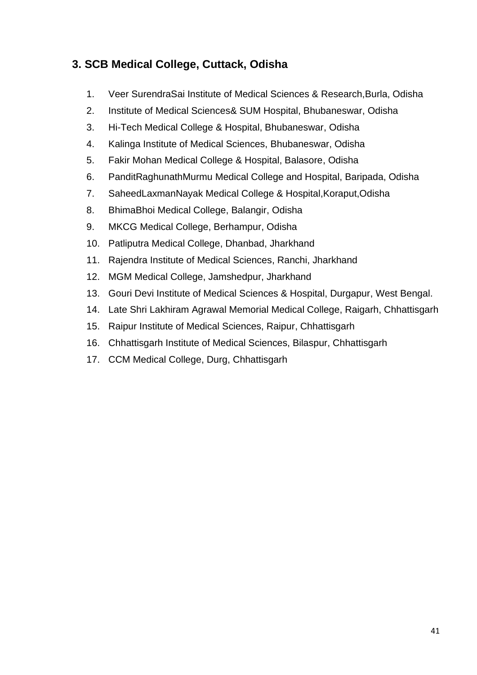# **3. SCB Medical College, Cuttack, Odisha**

- 1. Veer SurendraSai Institute of Medical Sciences & Research,Burla, Odisha
- 2. Institute of Medical Sciences& SUM Hospital, Bhubaneswar, Odisha
- 3. Hi-Tech Medical College & Hospital, Bhubaneswar, Odisha
- 4. Kalinga Institute of Medical Sciences, Bhubaneswar, Odisha
- 5. Fakir Mohan Medical College & Hospital, Balasore, Odisha
- 6. PanditRaghunathMurmu Medical College and Hospital, Baripada, Odisha
- 7. SaheedLaxmanNayak Medical College & Hospital,Koraput,Odisha
- 8. BhimaBhoi Medical College, Balangir, Odisha
- 9. MKCG Medical College, Berhampur, Odisha
- 10. Patliputra Medical College, Dhanbad, Jharkhand
- 11. Rajendra Institute of Medical Sciences, Ranchi, Jharkhand
- 12. MGM Medical College, Jamshedpur, Jharkhand
- 13. Gouri Devi Institute of Medical Sciences & Hospital, Durgapur, West Bengal.
- 14. Late Shri Lakhiram Agrawal Memorial Medical College, Raigarh, Chhattisgarh
- 15. Raipur Institute of Medical Sciences, Raipur, Chhattisgarh
- 16. Chhattisgarh Institute of Medical Sciences, Bilaspur, Chhattisgarh
- 17. CCM Medical College, Durg, Chhattisgarh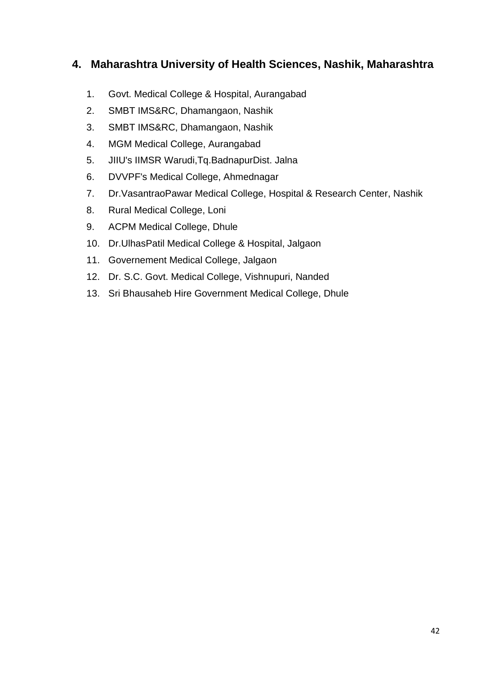# **4. Maharashtra University of Health Sciences, Nashik, Maharashtra**

- 1. Govt. Medical College & Hospital, Aurangabad
- 2. SMBT IMS&RC, Dhamangaon, Nashik
- 3. SMBT IMS&RC, Dhamangaon, Nashik
- 4. MGM Medical College, Aurangabad
- 5. JIIU's IIMSR Warudi,Tq.BadnapurDist. Jalna
- 6. DVVPF's Medical College, Ahmednagar
- 7. Dr.VasantraoPawar Medical College, Hospital & Research Center, Nashik
- 8. Rural Medical College, Loni
- 9. ACPM Medical College, Dhule
- 10. Dr.UlhasPatil Medical College & Hospital, Jalgaon
- 11. Governement Medical College, Jalgaon
- 12. Dr. S.C. Govt. Medical College, Vishnupuri, Nanded
- 13. Sri Bhausaheb Hire Government Medical College, Dhule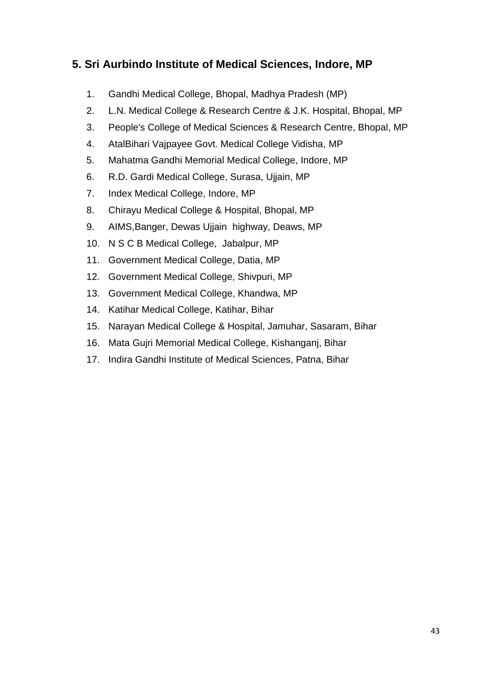# **5. Sri Aurbindo Institute of Medical Sciences, Indore, MP**

- 1. Gandhi Medical College, Bhopal, Madhya Pradesh (MP)
- 2. L.N. Medical College & Research Centre & J.K. Hospital, Bhopal, MP
- 3. People's College of Medical Sciences & Research Centre, Bhopal, MP
- 4. AtalBihari Vajpayee Govt. Medical College Vidisha, MP
- 5. Mahatma Gandhi Memorial Medical College, Indore, MP
- 6. R.D. Gardi Medical College, Surasa, Ujjain, MP
- 7. Index Medical College, Indore, MP
- 8. Chirayu Medical College & Hospital, Bhopal, MP
- 9. AIMS,Banger, Dewas Ujjain highway, Deaws, MP
- 10. N S C B Medical College, Jabalpur, MP
- 11. Government Medical College, Datia, MP
- 12. Government Medical College, Shivpuri, MP
- 13. Government Medical College, Khandwa, MP
- 14. Katihar Medical College, Katihar, Bihar
- 15. Narayan Medical College & Hospital, Jamuhar, Sasaram, Bihar
- 16. Mata Gujri Memorial Medical College, Kishanganj, Bihar
- 17. Indira Gandhi Institute of Medical Sciences, Patna, Bihar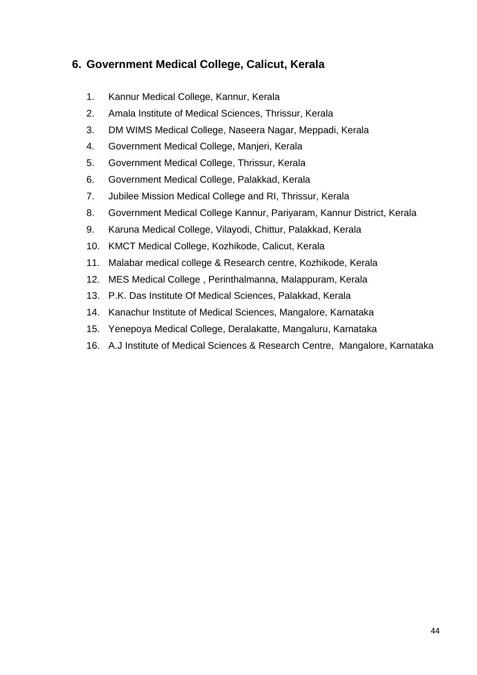# **6. Government Medical College, Calicut, Kerala**

- 1. Kannur Medical College, Kannur, Kerala
- 2. Amala Institute of Medical Sciences, Thrissur, Kerala
- 3. DM WIMS Medical College, Naseera Nagar, Meppadi, Kerala
- 4. Government Medical College, Manjeri, Kerala
- 5. Government Medical College, Thrissur, Kerala
- 6. Government Medical College, Palakkad, Kerala
- 7. Jubilee Mission Medical College and RI, Thrissur, Kerala
- 8. Government Medical College Kannur, Pariyaram, Kannur District, Kerala
- 9. Karuna Medical College, Vilayodi, Chittur, Palakkad, Kerala
- 10. KMCT Medical College, Kozhikode, Calicut, Kerala
- 11. Malabar medical college & Research centre, Kozhikode, Kerala
- 12. MES Medical College , Perinthalmanna, Malappuram, Kerala
- 13. P.K. Das Institute Of Medical Sciences, Palakkad, Kerala
- 14. Kanachur Institute of Medical Sciences, Mangalore, Karnataka
- 15. Yenepoya Medical College, Deralakatte, Mangaluru, Karnataka
- 16. A.J Institute of Medical Sciences & Research Centre, Mangalore, Karnataka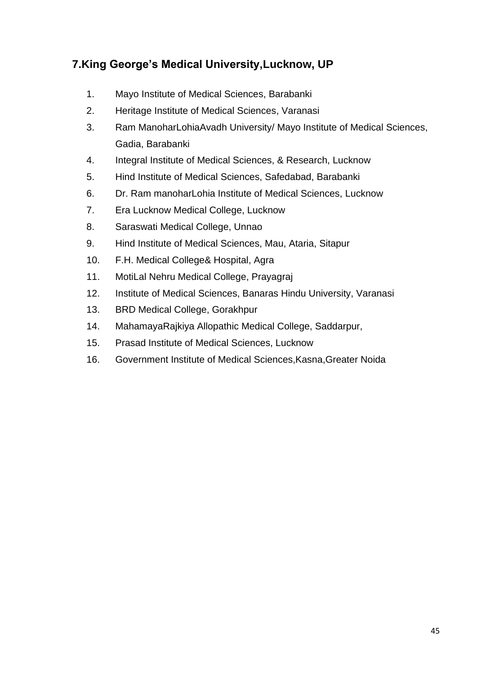# **7.King George's Medical University,Lucknow, UP**

- 1. Mayo Institute of Medical Sciences, Barabanki
- 2. Heritage Institute of Medical Sciences, Varanasi
- 3. Ram ManoharLohiaAvadh University/ Mayo Institute of Medical Sciences, Gadia, Barabanki
- 4. Integral Institute of Medical Sciences, & Research, Lucknow
- 5. Hind Institute of Medical Sciences, Safedabad, Barabanki
- 6. Dr. Ram manoharLohia Institute of Medical Sciences, Lucknow
- 7. Era Lucknow Medical College, Lucknow
- 8. Saraswati Medical College, Unnao
- 9. Hind Institute of Medical Sciences, Mau, Ataria, Sitapur
- 10. F.H. Medical College& Hospital, Agra
- 11. MotiLal Nehru Medical College, Prayagraj
- 12. Institute of Medical Sciences, Banaras Hindu University, Varanasi
- 13. BRD Medical College, Gorakhpur
- 14. MahamayaRajkiya Allopathic Medical College, Saddarpur,
- 15. Prasad Institute of Medical Sciences, Lucknow
- 16. Government Institute of Medical Sciences,Kasna,Greater Noida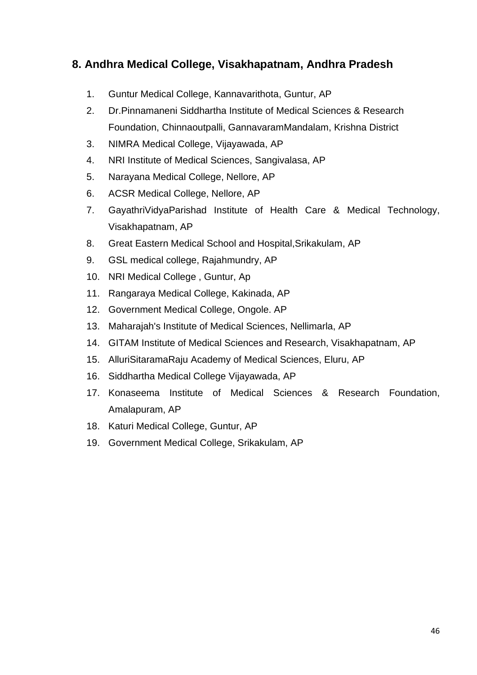## **8. Andhra Medical College, Visakhapatnam, Andhra Pradesh**

- 1. Guntur Medical College, Kannavarithota, Guntur, AP
- 2. Dr.Pinnamaneni Siddhartha Institute of Medical Sciences & Research Foundation, Chinnaoutpalli, GannavaramMandalam, Krishna District
- 3. NIMRA Medical College, Vijayawada, AP
- 4. NRI Institute of Medical Sciences, Sangivalasa, AP
- 5. Narayana Medical College, Nellore, AP
- 6. ACSR Medical College, Nellore, AP
- 7. GayathriVidyaParishad Institute of Health Care & Medical Technology, Visakhapatnam, AP
- 8. Great Eastern Medical School and Hospital,Srikakulam, AP
- 9. GSL medical college, Rajahmundry, AP
- 10. NRI Medical College , Guntur, Ap
- 11. Rangaraya Medical College, Kakinada, AP
- 12. Government Medical College, Ongole. AP
- 13. Maharajah's Institute of Medical Sciences, Nellimarla, AP
- 14. GITAM Institute of Medical Sciences and Research, Visakhapatnam, AP
- 15. AlluriSitaramaRaju Academy of Medical Sciences, Eluru, AP
- 16. Siddhartha Medical College Vijayawada, AP
- 17. Konaseema Institute of Medical Sciences & Research Foundation, Amalapuram, AP
- 18. Katuri Medical College, Guntur, AP
- 19. Government Medical College, Srikakulam, AP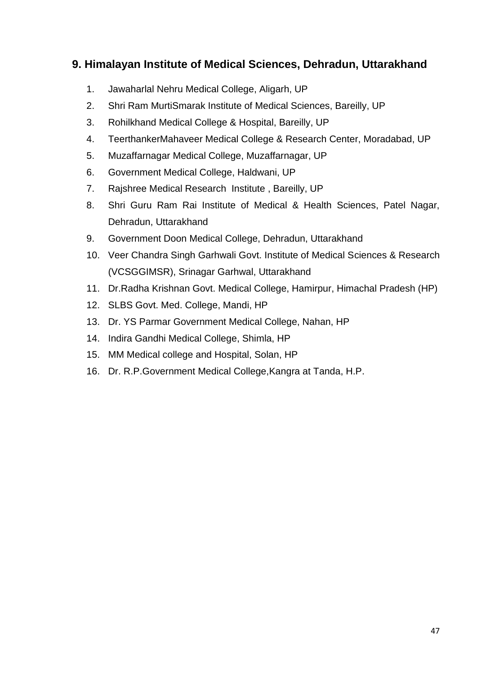# **9. Himalayan Institute of Medical Sciences, Dehradun, Uttarakhand**

- 1. Jawaharlal Nehru Medical College, Aligarh, UP
- 2. Shri Ram MurtiSmarak Institute of Medical Sciences, Bareilly, UP
- 3. Rohilkhand Medical College & Hospital, Bareilly, UP
- 4. TeerthankerMahaveer Medical College & Research Center, Moradabad, UP
- 5. Muzaffarnagar Medical College, Muzaffarnagar, UP
- 6. Government Medical College, Haldwani, UP
- 7. Rajshree Medical Research Institute , Bareilly, UP
- 8. Shri Guru Ram Rai Institute of Medical & Health Sciences, Patel Nagar, Dehradun, Uttarakhand
- 9. Government Doon Medical College, Dehradun, Uttarakhand
- 10. Veer Chandra Singh Garhwali Govt. Institute of Medical Sciences & Research (VCSGGIMSR), Srinagar Garhwal, Uttarakhand
- 11. Dr.Radha Krishnan Govt. Medical College, Hamirpur, Himachal Pradesh (HP)
- 12. SLBS Govt. Med. College, Mandi, HP
- 13. Dr. YS Parmar Government Medical College, Nahan, HP
- 14. Indira Gandhi Medical College, Shimla, HP
- 15. MM Medical college and Hospital, Solan, HP
- 16. Dr. R.P.Government Medical College,Kangra at Tanda, H.P.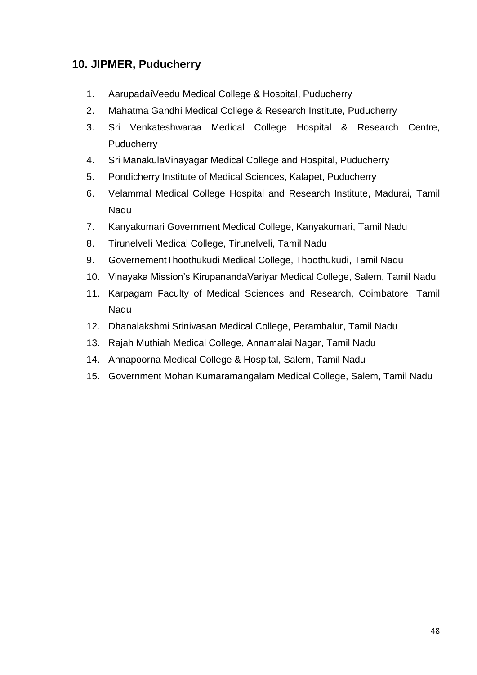# **10. JIPMER, Puducherry**

- 1. AarupadaiVeedu Medical College & Hospital, Puducherry
- 2. Mahatma Gandhi Medical College & Research Institute, Puducherry
- 3. Sri Venkateshwaraa Medical College Hospital & Research Centre, **Puducherry**
- 4. Sri ManakulaVinayagar Medical College and Hospital, Puducherry
- 5. Pondicherry Institute of Medical Sciences, Kalapet, Puducherry
- 6. Velammal Medical College Hospital and Research Institute, Madurai, Tamil Nadu
- 7. Kanyakumari Government Medical College, Kanyakumari, Tamil Nadu
- 8. Tirunelveli Medical College, Tirunelveli, Tamil Nadu
- 9. GovernementThoothukudi Medical College, Thoothukudi, Tamil Nadu
- 10. Vinayaka Mission's KirupanandaVariyar Medical College, Salem, Tamil Nadu
- 11. Karpagam Faculty of Medical Sciences and Research, Coimbatore, Tamil Nadu
- 12. Dhanalakshmi Srinivasan Medical College, Perambalur, Tamil Nadu
- 13. Rajah Muthiah Medical College, Annamalai Nagar, Tamil Nadu
- 14. Annapoorna Medical College & Hospital, Salem, Tamil Nadu
- 15. Government Mohan Kumaramangalam Medical College, Salem, Tamil Nadu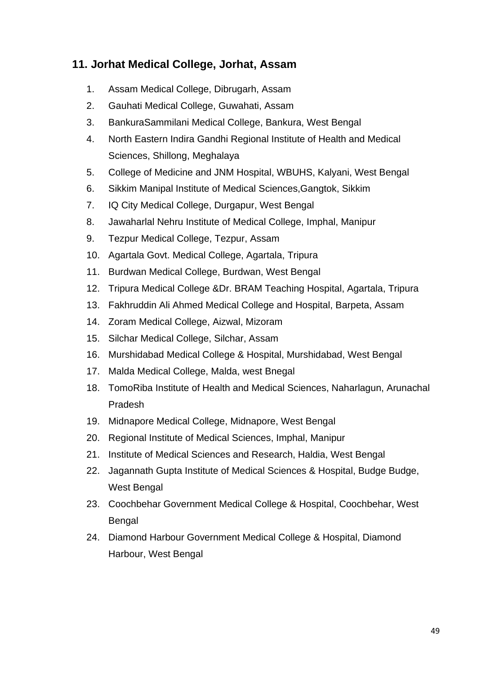# **11. Jorhat Medical College, Jorhat, Assam**

- 1. Assam Medical College, Dibrugarh, Assam
- 2. Gauhati Medical College, Guwahati, Assam
- 3. BankuraSammilani Medical College, Bankura, West Bengal
- 4. North Eastern Indira Gandhi Regional Institute of Health and Medical Sciences, Shillong, Meghalaya
- 5. College of Medicine and JNM Hospital, WBUHS, Kalyani, West Bengal
- 6. Sikkim Manipal Institute of Medical Sciences,Gangtok, Sikkim
- 7. IQ City Medical College, Durgapur, West Bengal
- 8. Jawaharlal Nehru Institute of Medical College, Imphal, Manipur
- 9. Tezpur Medical College, Tezpur, Assam
- 10. Agartala Govt. Medical College, Agartala, Tripura
- 11. Burdwan Medical College, Burdwan, West Bengal
- 12. Tripura Medical College &Dr. BRAM Teaching Hospital, Agartala, Tripura
- 13. Fakhruddin Ali Ahmed Medical College and Hospital, Barpeta, Assam
- 14. Zoram Medical College, Aizwal, Mizoram
- 15. Silchar Medical College, Silchar, Assam
- 16. Murshidabad Medical College & Hospital, Murshidabad, West Bengal
- 17. Malda Medical College, Malda, west Bnegal
- 18. TomoRiba Institute of Health and Medical Sciences, Naharlagun, Arunachal Pradesh
- 19. Midnapore Medical College, Midnapore, West Bengal
- 20. Regional Institute of Medical Sciences, Imphal, Manipur
- 21. Institute of Medical Sciences and Research, Haldia, West Bengal
- 22. Jagannath Gupta Institute of Medical Sciences & Hospital, Budge Budge, West Bengal
- 23. Coochbehar Government Medical College & Hospital, Coochbehar, West Bengal
- 24. Diamond Harbour Government Medical College & Hospital, Diamond Harbour, West Bengal